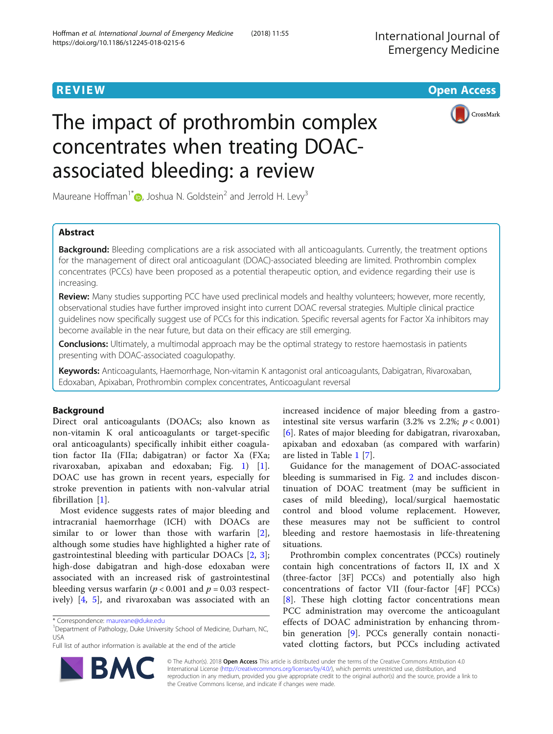**REVIEW CONTROL** CONTROL CONTROL CONTROL CONTROL CONTROL CONTROL CONTROL CONTROL CONTROL CONTROL CONTROL CONTROL



# The impact of prothrombin complex concentrates when treating DOACassociated bleeding: a review

Maureane Hoffman<sup>1[\\*](http://orcid.org/0000-0001-7123-0100)</sup>  $\bullet$ , Joshua N. Goldstein<sup>2</sup> and Jerrold H. Levy<sup>3</sup>

# Abstract

Background: Bleeding complications are a risk associated with all anticoagulants. Currently, the treatment options for the management of direct oral anticoagulant (DOAC)-associated bleeding are limited. Prothrombin complex concentrates (PCCs) have been proposed as a potential therapeutic option, and evidence regarding their use is increasing.

Review: Many studies supporting PCC have used preclinical models and healthy volunteers; however, more recently, observational studies have further improved insight into current DOAC reversal strategies. Multiple clinical practice guidelines now specifically suggest use of PCCs for this indication. Specific reversal agents for Factor Xa inhibitors may become available in the near future, but data on their efficacy are still emerging.

Conclusions: Ultimately, a multimodal approach may be the optimal strategy to restore haemostasis in patients presenting with DOAC-associated coagulopathy.

Keywords: Anticoagulants, Haemorrhage, Non-vitamin K antagonist oral anticoagulants, Dabigatran, Rivaroxaban, Edoxaban, Apixaban, Prothrombin complex concentrates, Anticoagulant reversal

# Background

Direct oral anticoagulants (DOACs; also known as non-vitamin K oral anticoagulants or target-specific oral anticoagulants) specifically inhibit either coagulation factor IIa (FIIa; dabigatran) or factor Xa (FXa; rivaroxaban, apixaban and edoxaban; Fig. [1](#page-1-0)) [\[1](#page-14-0)]. DOAC use has grown in recent years, especially for stroke prevention in patients with non-valvular atrial fibrillation [\[1](#page-14-0)].

Most evidence suggests rates of major bleeding and intracranial haemorrhage (ICH) with DOACs are similar to or lower than those with warfarin [\[2](#page-14-0)], although some studies have highlighted a higher rate of gastrointestinal bleeding with particular DOACs [\[2](#page-14-0), [3](#page-14-0)]; high-dose dabigatran and high-dose edoxaban were associated with an increased risk of gastrointestinal bleeding versus warfarin ( $p < 0.001$  and  $p = 0.03$  respectively) [\[4](#page-14-0), [5](#page-14-0)], and rivaroxaban was associated with an

Full list of author information is available at the end of the article



Guidance for the management of DOAC-associated bleeding is summarised in Fig. [2](#page-2-0) and includes discontinuation of DOAC treatment (may be sufficient in cases of mild bleeding), local/surgical haemostatic control and blood volume replacement. However, these measures may not be sufficient to control bleeding and restore haemostasis in life-threatening situations.

Prothrombin complex concentrates (PCCs) routinely contain high concentrations of factors II, IX and X (three-factor [3F] PCCs) and potentially also high concentrations of factor VII (four-factor [4F] PCCs) [[8\]](#page-14-0). These high clotting factor concentrations mean PCC administration may overcome the anticoagulant effects of DOAC administration by enhancing throm-bin generation [[9\]](#page-14-0). PCCs generally contain nonactivated clotting factors, but PCCs including activated



© The Author(s). 2018 Open Access This article is distributed under the terms of the Creative Commons Attribution 4.0 International License [\(http://creativecommons.org/licenses/by/4.0/](http://creativecommons.org/licenses/by/4.0/)), which permits unrestricted use, distribution, and reproduction in any medium, provided you give appropriate credit to the original author(s) and the source, provide a link to the Creative Commons license, and indicate if changes were made.

<sup>\*</sup> Correspondence: [maureane@duke.edu](mailto:maureane@duke.edu) <sup>1</sup>

<sup>&</sup>lt;sup>1</sup>Department of Pathology, Duke University School of Medicine, Durham, NC, USA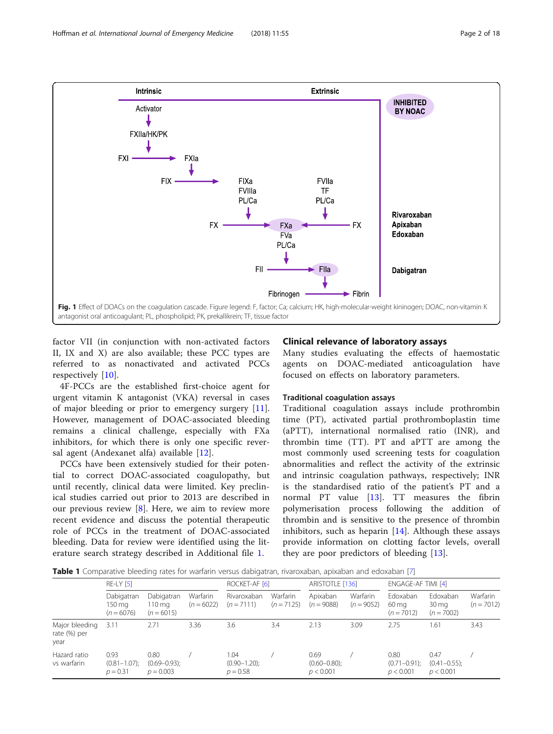<span id="page-1-0"></span>

factor VII (in conjunction with non-activated factors II, IX and X) are also available; these PCC types are referred to as nonactivated and activated PCCs respectively [\[10\]](#page-14-0).

4F-PCCs are the established first-choice agent for urgent vitamin K antagonist (VKA) reversal in cases of major bleeding or prior to emergency surgery [\[11](#page-14-0)]. However, management of DOAC-associated bleeding remains a clinical challenge, especially with FXa inhibitors, for which there is only one specific reversal agent (Andexanet alfa) available [[12\]](#page-14-0).

PCCs have been extensively studied for their potential to correct DOAC-associated coagulopathy, but until recently, clinical data were limited. Key preclinical studies carried out prior to 2013 are described in our previous review [[8\]](#page-14-0). Here, we aim to review more recent evidence and discuss the potential therapeutic role of PCCs in the treatment of DOAC-associated bleeding. Data for review were identified using the literature search strategy described in Additional file [1](#page-14-0).

## Clinical relevance of laboratory assays

Many studies evaluating the effects of haemostatic agents on DOAC-mediated anticoagulation have focused on effects on laboratory parameters.

## Traditional coagulation assays

Traditional coagulation assays include prothrombin time (PT), activated partial prothromboplastin time (aPTT), international normalised ratio (INR), and thrombin time (TT). PT and aPTT are among the most commonly used screening tests for coagulation abnormalities and reflect the activity of the extrinsic and intrinsic coagulation pathways, respectively; INR is the standardised ratio of the patient's PT and a normal PT value [[13\]](#page-15-0). TT measures the fibrin polymerisation process following the addition of thrombin and is sensitive to the presence of thrombin inhibitors, such as heparin  $[14]$  $[14]$ . Although these assays provide information on clotting factor levels, overall they are poor predictors of bleeding [[13](#page-15-0)].

Table 1 Comparative bleeding rates for warfarin versus dabigatran, rivaroxaban, apixaban and edoxaban [[7](#page-14-0)]

|                                        | $RE-LY$ [5]                             |                                                   |                          | ROCKET-AF [6]                           |                          | ARISTOTLE [136]                        |                          | ENGAGE-AF TIMI [4]                     |                                                |                          |
|----------------------------------------|-----------------------------------------|---------------------------------------------------|--------------------------|-----------------------------------------|--------------------------|----------------------------------------|--------------------------|----------------------------------------|------------------------------------------------|--------------------------|
|                                        | Dabigatran<br>150 mg<br>$(n = 6076)$    | Dabigatran<br>$110 \,\mathrm{mg}$<br>$(n = 6015)$ | Warfarin<br>$(n = 6022)$ | Rivaroxaban<br>$(n = 7111)$             | Warfarin<br>$(n = 7125)$ | Apixaban<br>$(n = 9088)$               | Warfarin<br>$(n = 9052)$ | Edoxaban<br>60 mg<br>$(n = 7012)$      | Edoxaban<br>$30 \,\mathrm{mg}$<br>$(n = 7002)$ | Warfarin<br>$(n = 7012)$ |
| Major bleeding<br>rate (%) per<br>year | 3.11                                    | 2.71                                              | 3.36                     | 3.6                                     | 3.4                      | 2.13                                   | 3.09                     | 2.75                                   | .61                                            | 3.43                     |
| Hazard ratio<br>vs warfarin            | 0.93<br>$(0.81 - 1.07)$ ;<br>$p = 0.31$ | 0.80<br>$(0.69 - 0.93)$ ;<br>$p = 0.003$          |                          | 1.04<br>$(0.90 - 1.20)$ ;<br>$p = 0.58$ |                          | 0.69<br>$(0.60 - 0.80)$ ;<br>p < 0.001 |                          | 0.80<br>$(0.71 - 0.91)$ ;<br>p < 0.001 | 0.47<br>$(0.41 - 0.55)$ ;<br>p < 0.001         |                          |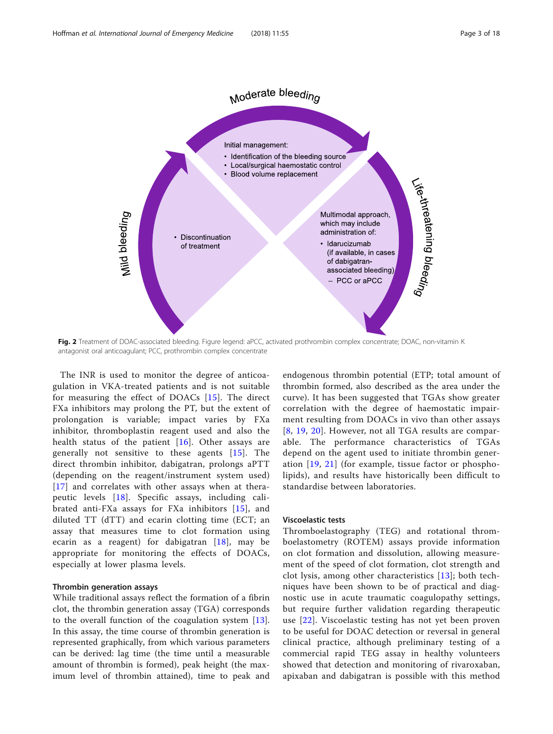<span id="page-2-0"></span>

Fig. 2 Treatment of DOAC-associated bleeding. Figure legend: aPCC, activated prothrombin complex concentrate; DOAC, non-vitamin K antagonist oral anticoagulant; PCC, prothrombin complex concentrate

The INR is used to monitor the degree of anticoagulation in VKA-treated patients and is not suitable for measuring the effect of DOACs [[15\]](#page-15-0). The direct FXa inhibitors may prolong the PT, but the extent of prolongation is variable; impact varies by FXa inhibitor, thromboplastin reagent used and also the health status of the patient [[16\]](#page-15-0). Other assays are generally not sensitive to these agents [[15\]](#page-15-0). The direct thrombin inhibitor, dabigatran, prolongs aPTT (depending on the reagent/instrument system used) [[17](#page-15-0)] and correlates with other assays when at therapeutic levels [[18](#page-15-0)]. Specific assays, including calibrated anti-FXa assays for FXa inhibitors [[15\]](#page-15-0), and diluted TT (dTT) and ecarin clotting time (ECT; an assay that measures time to clot formation using ecarin as a reagent) for dabigatran [\[18\]](#page-15-0), may be appropriate for monitoring the effects of DOACs, especially at lower plasma levels.

## Thrombin generation assays

While traditional assays reflect the formation of a fibrin clot, the thrombin generation assay (TGA) corresponds to the overall function of the coagulation system [\[13](#page-15-0)]. In this assay, the time course of thrombin generation is represented graphically, from which various parameters can be derived: lag time (the time until a measurable amount of thrombin is formed), peak height (the maximum level of thrombin attained), time to peak and

endogenous thrombin potential (ETP; total amount of thrombin formed, also described as the area under the curve). It has been suggested that TGAs show greater correlation with the degree of haemostatic impairment resulting from DOACs in vivo than other assays [[8](#page-14-0), [19](#page-15-0), [20](#page-15-0)]. However, not all TGA results are comparable. The performance characteristics of TGAs depend on the agent used to initiate thrombin generation [[19,](#page-15-0) [21](#page-15-0)] (for example, tissue factor or phospholipids), and results have historically been difficult to standardise between laboratories.

## Viscoelastic tests

Thromboelastography (TEG) and rotational thromboelastometry (ROTEM) assays provide information on clot formation and dissolution, allowing measurement of the speed of clot formation, clot strength and clot lysis, among other characteristics [\[13\]](#page-15-0); both techniques have been shown to be of practical and diagnostic use in acute traumatic coagulopathy settings, but require further validation regarding therapeutic use [[22](#page-15-0)]. Viscoelastic testing has not yet been proven to be useful for DOAC detection or reversal in general clinical practice, although preliminary testing of a commercial rapid TEG assay in healthy volunteers showed that detection and monitoring of rivaroxaban, apixaban and dabigatran is possible with this method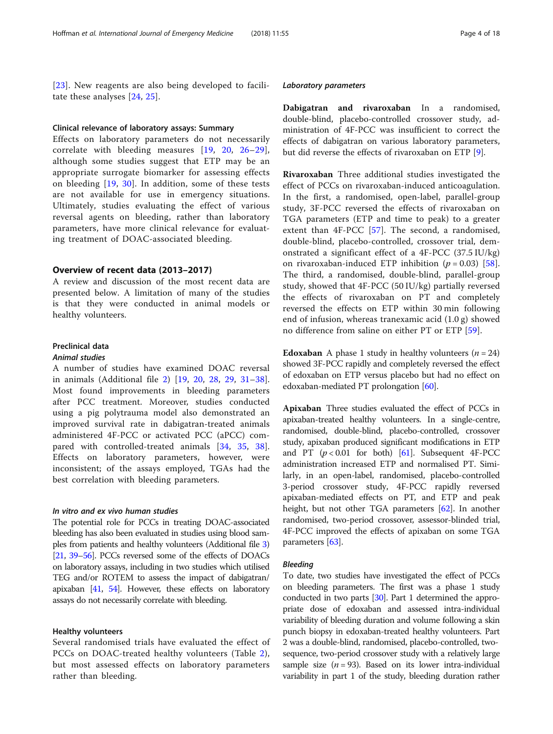[[23](#page-15-0)]. New reagents are also being developed to facilitate these analyses [\[24,](#page-15-0) [25](#page-15-0)].

#### Clinical relevance of laboratory assays: Summary

Effects on laboratory parameters do not necessarily correlate with bleeding measures [[19,](#page-15-0) [20](#page-15-0), [26](#page-15-0)–[29](#page-15-0)], although some studies suggest that ETP may be an appropriate surrogate biomarker for assessing effects on bleeding [[19](#page-15-0), [30\]](#page-15-0). In addition, some of these tests are not available for use in emergency situations. Ultimately, studies evaluating the effect of various reversal agents on bleeding, rather than laboratory parameters, have more clinical relevance for evaluating treatment of DOAC-associated bleeding.

## Overview of recent data (2013–2017)

A review and discussion of the most recent data are presented below. A limitation of many of the studies is that they were conducted in animal models or healthy volunteers.

# Preclinical data

## Animal studies

A number of studies have examined DOAC reversal in animals (Additional file [2](#page-14-0)) [[19,](#page-15-0) [20](#page-15-0), [28](#page-15-0), [29](#page-15-0), [31](#page-15-0)–[38](#page-15-0)]. Most found improvements in bleeding parameters after PCC treatment. Moreover, studies conducted using a pig polytrauma model also demonstrated an improved survival rate in dabigatran-treated animals administered 4F-PCC or activated PCC (aPCC) compared with controlled-treated animals [[34,](#page-15-0) [35,](#page-15-0) [38](#page-15-0)]. Effects on laboratory parameters, however, were inconsistent; of the assays employed, TGAs had the best correlation with bleeding parameters.

## In vitro and ex vivo human studies

The potential role for PCCs in treating DOAC-associated bleeding has also been evaluated in studies using blood samples from patients and healthy volunteers (Additional file [3](#page-14-0)) [[21,](#page-15-0) [39](#page-15-0)–[56\]](#page-16-0). PCCs reversed some of the effects of DOACs on laboratory assays, including in two studies which utilised TEG and/or ROTEM to assess the impact of dabigatran/ apixaban [\[41](#page-15-0), [54](#page-16-0)]. However, these effects on laboratory assays do not necessarily correlate with bleeding.

# Healthy volunteers

Several randomised trials have evaluated the effect of PCCs on DOAC-treated healthy volunteers (Table [2](#page-4-0)), but most assessed effects on laboratory parameters rather than bleeding.

#### Laboratory parameters

Dabigatran and rivaroxaban In a randomised, double-blind, placebo-controlled crossover study, administration of 4F-PCC was insufficient to correct the effects of dabigatran on various laboratory parameters, but did reverse the effects of rivaroxaban on ETP [[9\]](#page-14-0).

Rivaroxaban Three additional studies investigated the effect of PCCs on rivaroxaban-induced anticoagulation. In the first, a randomised, open-label, parallel-group study, 3F-PCC reversed the effects of rivaroxaban on TGA parameters (ETP and time to peak) to a greater extent than 4F-PCC [\[57](#page-16-0)]. The second, a randomised, double-blind, placebo-controlled, crossover trial, demonstrated a significant effect of a 4F-PCC (37.5 IU/kg) on rivaroxaban-induced ETP inhibition  $(p = 0.03)$  [\[58](#page-16-0)]. The third, a randomised, double-blind, parallel-group study, showed that 4F-PCC (50 IU/kg) partially reversed the effects of rivaroxaban on PT and completely reversed the effects on ETP within 30 min following end of infusion, whereas tranexamic acid (1.0 g) showed no difference from saline on either PT or ETP [[59](#page-16-0)].

**Edoxaban** A phase 1 study in healthy volunteers  $(n = 24)$ showed 3F-PCC rapidly and completely reversed the effect of edoxaban on ETP versus placebo but had no effect on edoxaban-mediated PT prolongation [[60](#page-16-0)].

Apixaban Three studies evaluated the effect of PCCs in apixaban-treated healthy volunteers. In a single-centre, randomised, double-blind, placebo-controlled, crossover study, apixaban produced significant modifications in ETP and PT  $(p < 0.01$  for both) [[61\]](#page-16-0). Subsequent 4F-PCC administration increased ETP and normalised PT. Similarly, in an open-label, randomised, placebo-controlled 3-period crossover study, 4F-PCC rapidly reversed apixaban-mediated effects on PT, and ETP and peak height, but not other TGA parameters [\[62\]](#page-16-0). In another randomised, two-period crossover, assessor-blinded trial, 4F-PCC improved the effects of apixaban on some TGA parameters [[63](#page-16-0)].

#### Bleeding

To date, two studies have investigated the effect of PCCs on bleeding parameters. The first was a phase 1 study conducted in two parts [[30\]](#page-15-0). Part 1 determined the appropriate dose of edoxaban and assessed intra-individual variability of bleeding duration and volume following a skin punch biopsy in edoxaban-treated healthy volunteers. Part 2 was a double-blind, randomised, placebo-controlled, twosequence, two-period crossover study with a relatively large sample size ( $n = 93$ ). Based on its lower intra-individual variability in part 1 of the study, bleeding duration rather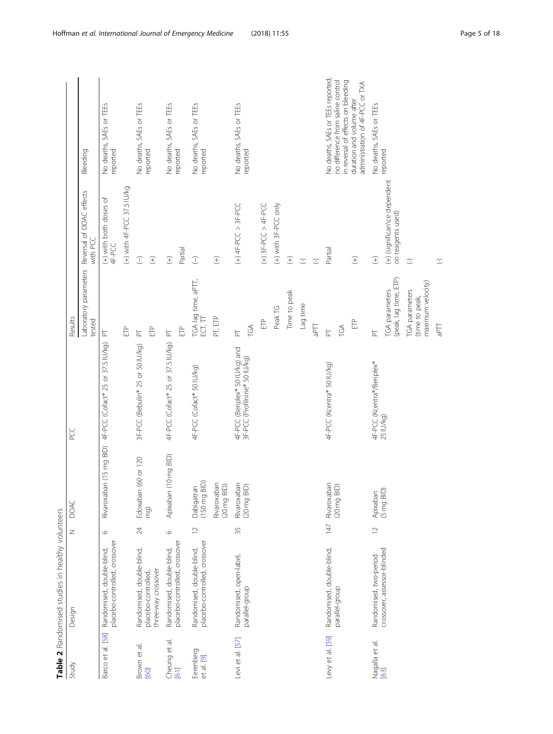<span id="page-4-0"></span>

|                         | Table 2 Randomised studies in healthy volunteers           |             |                                   |                                                           |                                                       |                                                   |                                                                         |
|-------------------------|------------------------------------------------------------|-------------|-----------------------------------|-----------------------------------------------------------|-------------------------------------------------------|---------------------------------------------------|-------------------------------------------------------------------------|
| Study                   | Design                                                     | Z           | DOAC                              | PC<br>PC                                                  | Results                                               |                                                   |                                                                         |
|                         |                                                            |             |                                   |                                                           | Laboratory parameters<br>tested                       | Reversal of DOAC effects<br>with PCC              | Bleeding                                                                |
| Barco et al. [58]       | placebo-controlled, crossover<br>Randomised, double-blind, | $\circ$     |                                   | Rivaroxaban (15 mg BID) 4F-PCC (Cofact® 25 or 37.5 IU/kg) | $\overline{\mathbb{F}}$                               | (+) with both doses of<br>4F-PCC                  | No deaths, SAEs or TEEs<br>reported                                     |
|                         |                                                            |             |                                   |                                                           | ÊP                                                    | (+) with 4F-PCC 37.5 IU/kg                        |                                                                         |
| Brown et al.<br>[60]    | Randomised, double-blind,                                  | 24          | Edoxaban (60 or 120               | 3F-PCC (Bebulin® 25 or 50 IU/kg)                          | $\overleftarrow{\Xi}$                                 | $\widehat{\bot}$                                  | No deaths, SAEs or TEEs                                                 |
|                         | three-way crossover<br>placebo-controlled                  |             | mg)                               |                                                           | Ê                                                     | E                                                 | reported                                                                |
| Cheung et al.<br>[61]   | Randomised, double-blind,                                  | $\circ$     | $(10 \text{ mg BID})$<br>Apixaban | 4F-PCC (Cofact® 25 or 37.5 IU/kg)                         | $\overline{\mathbb{F}}$                               | E                                                 | No deaths, SAEs or TEEs                                                 |
|                         | placebo-controlled, crossover                              |             |                                   |                                                           | Ê                                                     | Partial                                           | reported                                                                |
| Eerenberg<br>et al. [9] | placebo-controlled, crossover<br>Randomised, double-blind, | $\supseteq$ | Dabigatran<br>(150 mg BID)        | 4F-PCC (Cofact® 50 IU/kg)                                 | TGA lag time, aPTT,<br>ECT, TT                        | $\widehat{\bot}$                                  | No deaths, SAEs or TEEs<br>reported                                     |
|                         |                                                            |             | Rivaroxaban<br>(20 mg BID)        |                                                           | PT, ETP                                               | $\widehat{\pm}$                                   |                                                                         |
| Levi et al. [57]        | Randomised, open-label,                                    | 35          | Rivaroxaban<br>(20 mg BID)        | 4F-PCC (Beriplex® 50 IU/kg) and                           | $\overline{\mathbb{F}}$                               | $(+)$ 4F-PCC > 3F-PCC                             | No deaths, SAEs or TEEs                                                 |
|                         | parallel-group                                             |             |                                   | 3F-PCC (Profilnine® 50 IU/kg)                             | TGA                                                   |                                                   | reported                                                                |
|                         |                                                            |             |                                   |                                                           | ÊP                                                    | $(+)$ 3F-PCC > 4F-PCC                             |                                                                         |
|                         |                                                            |             |                                   |                                                           | Peak TG                                               | (+) with 3F-PCC only                              |                                                                         |
|                         |                                                            |             |                                   |                                                           | Time to peak                                          | $\widehat{t}$                                     |                                                                         |
|                         |                                                            |             |                                   |                                                           | Lag time                                              | $\bigcirc$                                        |                                                                         |
|                         |                                                            |             |                                   |                                                           | <b>TLde</b>                                           | $\bigcirc$                                        |                                                                         |
| Levy et al. [59]        | Randomised, double-blind,                                  | 147         | Rivaroxaban<br>(20 mg BID)        | 4F-PCC (Kcentra® 50 IU/kq)                                | $\overline{P}$                                        | Partial                                           | No deaths, SAEs or TEEs reported;                                       |
|                         | parallel-group                                             |             |                                   |                                                           | TGA                                                   |                                                   | no difference from saline control<br>in reversal of effects on bleeding |
|                         |                                                            |             |                                   |                                                           | ÈP                                                    | E                                                 | administration of 4F-PCC or TXA<br>duration and volume after            |
| Nagalla et al.          | Randomised, two-period                                     | $\supseteq$ | Apixaban                          | 4F-PCC (Kcentra®/Beriplex®<br>25 IU/kg)                   | $\overline{\Gamma}$                                   | $\widehat{t}$                                     | No deaths, SAEs or TEEs                                                 |
| 63                      | crossover, assessor-blinded                                |             | $(5 \text{ mg BID})$              |                                                           | (peak, lag time, ETP)<br>TGA parameters               | (+) (significan\ce dependent<br>on reagents used) | reported                                                                |
|                         |                                                            |             |                                   |                                                           | maximum velocity)<br>TGA parameters<br>(time to peak, | $\subset$                                         |                                                                         |
|                         |                                                            |             |                                   |                                                           | Цd <sup>e</sup>                                       | $\bigcirc$                                        |                                                                         |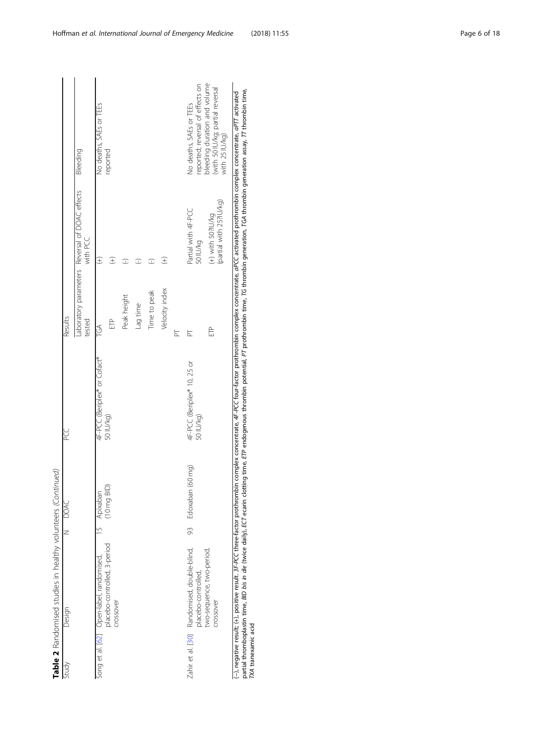| Study | Design                                                                   |               | N DOAC               | PCC<br>P                                 | Results                   |                                                            |                                                                                    |
|-------|--------------------------------------------------------------------------|---------------|----------------------|------------------------------------------|---------------------------|------------------------------------------------------------|------------------------------------------------------------------------------------|
|       |                                                                          |               |                      |                                          | tested                    | Laboratory parameters Reversal of DOAC effects<br>with PCC | Bleeding                                                                           |
|       | Song et al. [62] Open-label, randomised,<br>placebo-controlled, 3-period | $\frac{1}{2}$ | Apixaban             | 4F-PCC (Beriplex® or Cofact®             | $\widetilde{\mathcal{C}}$ | E                                                          | No deaths, SAEs or TEEs                                                            |
|       | crossover                                                                |               | $(10 \text{ mg BD})$ | 50 IU/kg)                                | È                         | E                                                          | reported                                                                           |
|       |                                                                          |               |                      |                                          | Peak height               | ∩                                                          |                                                                                    |
|       |                                                                          |               |                      |                                          | Lag time                  | ∩                                                          |                                                                                    |
|       |                                                                          |               |                      |                                          | Time to peak              | C                                                          |                                                                                    |
|       |                                                                          |               |                      |                                          | Velocity index            | $\widehat{t}$                                              |                                                                                    |
|       |                                                                          |               |                      |                                          | F                         |                                                            |                                                                                    |
|       | Zahir et al. [30] Randomised, double-blind,<br>placebo-controlled,       | 93            | Edoxaban (60 mg)     | 4F-PCC (Beriplex® 10, 25 or<br>50 IU/kg) | F                         | Partial with 4F-PCC<br>50 IU/kg                            | reported; reversal of effects on<br>No deaths, SAEs or TEEs                        |
|       | two-sequence, two-period,<br>crossover                                   |               |                      |                                          | È                         | (partial with 25?IU/kg)<br>$(+)$ with 50?IU/kg             | bleeding duration and volume<br>(with 50 IU/kg; partial reversal<br>with 25 IU/kg) |

(--), negative result; (+), positive result. 3F-PCC three-factor prothombin complex concertance, or problex concentrate, and prothombin complex concentrate, aPTT activated prothombin complex concentrate, aPTT activated pro partial thromboplastin time, BID bis in die (twice daily), ECT ecarin clotting time, ETP endogenous thrombin potential, PT prothrombin time, TG thrombin generation assay, TT thrombin time, (−), negative result; (+), positive result. 3F-PCC three-factor prothrombin complex concentrate, aPCC activated arbit acthrombin complex concentrate, aPCC activated prothrombin complex complex concentrate, aPTT activated TXA tranexamic acid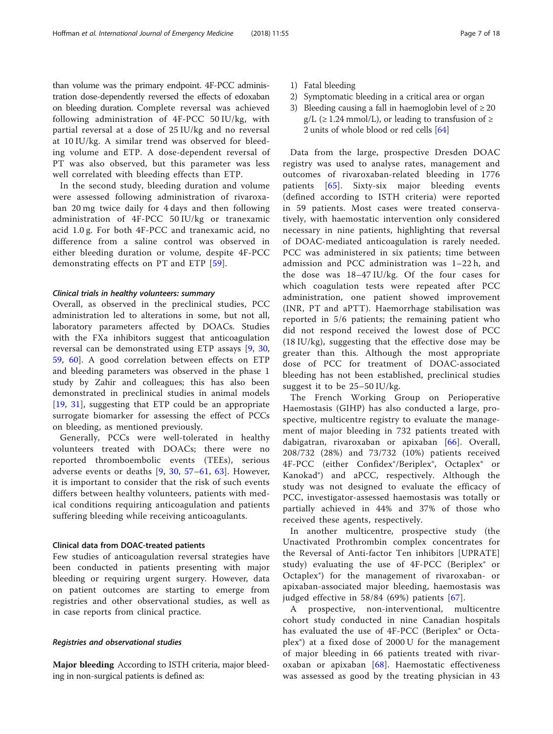than volume was the primary endpoint. 4F-PCC administration dose-dependently reversed the effects of edoxaban on bleeding duration. Complete reversal was achieved following administration of 4F-PCC 50 IU/kg, with partial reversal at a dose of 25 IU/kg and no reversal at 10 IU/kg. A similar trend was observed for bleeding volume and ETP. A dose-dependent reversal of PT was also observed, but this parameter was less well correlated with bleeding effects than ETP.

In the second study, bleeding duration and volume were assessed following administration of rivaroxaban 20 mg twice daily for 4 days and then following administration of 4F-PCC 50 IU/kg or tranexamic acid 1.0 g. For both 4F-PCC and tranexamic acid, no difference from a saline control was observed in either bleeding duration or volume, despite 4F-PCC demonstrating effects on PT and ETP [[59](#page-16-0)].

## Clinical trials in healthy volunteers: summary

Overall, as observed in the preclinical studies, PCC administration led to alterations in some, but not all, laboratory parameters affected by DOACs. Studies with the FXa inhibitors suggest that anticoagulation reversal can be demonstrated using ETP assays [\[9](#page-14-0), [30](#page-15-0), [59,](#page-16-0) [60](#page-16-0)]. A good correlation between effects on ETP and bleeding parameters was observed in the phase 1 study by Zahir and colleagues; this has also been demonstrated in preclinical studies in animal models [[19,](#page-15-0) [31\]](#page-15-0), suggesting that ETP could be an appropriate surrogate biomarker for assessing the effect of PCCs on bleeding, as mentioned previously.

Generally, PCCs were well-tolerated in healthy volunteers treated with DOACs; there were no reported thromboembolic events (TEEs), serious adverse events or deaths [[9](#page-14-0), [30](#page-15-0), [57](#page-16-0)–[61](#page-16-0), [63\]](#page-16-0). However, it is important to consider that the risk of such events differs between healthy volunteers, patients with medical conditions requiring anticoagulation and patients suffering bleeding while receiving anticoagulants.

## Clinical data from DOAC-treated patients

Few studies of anticoagulation reversal strategies have been conducted in patients presenting with major bleeding or requiring urgent surgery. However, data on patient outcomes are starting to emerge from registries and other observational studies, as well as in case reports from clinical practice.

## Registries and observational studies

Major bleeding According to ISTH criteria, major bleeding in non-surgical patients is defined as:

- 1) Fatal bleeding
- 2) Symptomatic bleeding in a critical area or organ
- 3) Bleeding causing a fall in haemoglobin level of  $\geq 20$  $g/L$  ( $\geq$  1.24 mmol/L), or leading to transfusion of  $\geq$ 2 units of whole blood or red cells [\[64](#page-16-0)]

Data from the large, prospective Dresden DOAC registry was used to analyse rates, management and outcomes of rivaroxaban-related bleeding in 1776 patients [\[65](#page-16-0)]. Sixty-six major bleeding events (defined according to ISTH criteria) were reported in 59 patients. Most cases were treated conservatively, with haemostatic intervention only considered necessary in nine patients, highlighting that reversal of DOAC-mediated anticoagulation is rarely needed. PCC was administered in six patients; time between admission and PCC administration was 1–22 h, and the dose was 18–47 IU/kg. Of the four cases for which coagulation tests were repeated after PCC administration, one patient showed improvement (INR, PT and aPTT). Haemorrhage stabilisation was reported in 5/6 patients; the remaining patient who did not respond received the lowest dose of PCC (18 IU/kg), suggesting that the effective dose may be greater than this. Although the most appropriate dose of PCC for treatment of DOAC-associated bleeding has not been established, preclinical studies suggest it to be 25–50 IU/kg.

The French Working Group on Perioperative Haemostasis (GIHP) has also conducted a large, prospective, multicentre registry to evaluate the management of major bleeding in 732 patients treated with dabigatran, rivaroxaban or apixaban [[66](#page-16-0)]. Overall, 208/732 (28%) and 73/732 (10%) patients received 4F-PCC (either Confidex®/Beriplex®, Octaplex® or Kanokad®) and aPCC, respectively. Although the study was not designed to evaluate the efficacy of PCC, investigator-assessed haemostasis was totally or partially achieved in 44% and 37% of those who received these agents, respectively.

In another multicentre, prospective study (the Unactivated Prothrombin complex concentrates for the Reversal of Anti-factor Ten inhibitors [UPRATE] study) evaluating the use of 4F-PCC (Beriplex® or Octaplex®) for the management of rivaroxaban- or apixaban-associated major bleeding, haemostasis was judged effective in 58/84 (69%) patients [[67\]](#page-16-0).

A prospective, non-interventional, multicentre cohort study conducted in nine Canadian hospitals has evaluated the use of 4F-PCC (Beriplex® or Octaplex®) at a fixed dose of 2000 U for the management of major bleeding in 66 patients treated with rivaroxaban or apixaban [[68](#page-16-0)]. Haemostatic effectiveness was assessed as good by the treating physician in 43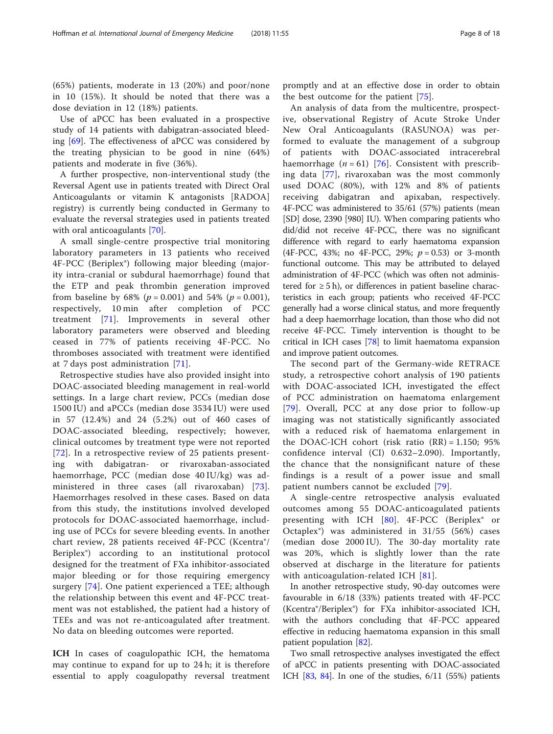(65%) patients, moderate in 13 (20%) and poor/none in 10 (15%). It should be noted that there was a dose deviation in 12 (18%) patients.

Use of aPCC has been evaluated in a prospective study of 14 patients with dabigatran-associated bleeding [[69\]](#page-16-0). The effectiveness of aPCC was considered by the treating physician to be good in nine (64%) patients and moderate in five (36%).

A further prospective, non-interventional study (the Reversal Agent use in patients treated with Direct Oral Anticoagulants or vitamin K antagonists [RADOA] registry) is currently being conducted in Germany to evaluate the reversal strategies used in patients treated with oral anticoagulants [\[70](#page-16-0)].

A small single-centre prospective trial monitoring laboratory parameters in 13 patients who received 4F-PCC (Beriplex®) following major bleeding (majority intra-cranial or subdural haemorrhage) found that the ETP and peak thrombin generation improved from baseline by 68% ( $p = 0.001$ ) and 54% ( $p = 0.001$ ), respectively, 10 min after completion of PCC treatment [[71](#page-16-0)]. Improvements in several other laboratory parameters were observed and bleeding ceased in 77% of patients receiving 4F-PCC. No thromboses associated with treatment were identified at 7 days post administration [[71\]](#page-16-0).

Retrospective studies have also provided insight into DOAC-associated bleeding management in real-world settings. In a large chart review, PCCs (median dose 1500 IU) and aPCCs (median dose 3534 IU) were used in 57 (12.4%) and 24 (5.2%) out of 460 cases of DOAC-associated bleeding, respectively; however, clinical outcomes by treatment type were not reported [[72](#page-16-0)]. In a retrospective review of 25 patients presenting with dabigatran- or rivaroxaban-associated haemorrhage, PCC (median dose 40 IU/kg) was administered in three cases (all rivaroxaban) [[73](#page-16-0)]. Haemorrhages resolved in these cases. Based on data from this study, the institutions involved developed protocols for DOAC-associated haemorrhage, including use of PCCs for severe bleeding events. In another chart review, 28 patients received 4F-PCC (Kcentra®/ Beriplex®) according to an institutional protocol designed for the treatment of FXa inhibitor-associated major bleeding or for those requiring emergency surgery [[74\]](#page-16-0). One patient experienced a TEE; although the relationship between this event and 4F-PCC treatment was not established, the patient had a history of TEEs and was not re-anticoagulated after treatment. No data on bleeding outcomes were reported.

ICH In cases of coagulopathic ICH, the hematoma may continue to expand for up to 24 h; it is therefore essential to apply coagulopathy reversal treatment

promptly and at an effective dose in order to obtain the best outcome for the patient [[75\]](#page-16-0).

An analysis of data from the multicentre, prospective, observational Registry of Acute Stroke Under New Oral Anticoagulants (RASUNOA) was performed to evaluate the management of a subgroup of patients with DOAC-associated intracerebral haemorrhage  $(n = 61)$  [[76](#page-16-0)]. Consistent with prescribing data [\[77](#page-16-0)], rivaroxaban was the most commonly used DOAC (80%), with 12% and 8% of patients receiving dabigatran and apixaban, respectively. 4F-PCC was administered to 35/61 (57%) patients (mean [SD] dose, 2390 [980] IU). When comparing patients who did/did not receive 4F-PCC, there was no significant difference with regard to early haematoma expansion (4F-PCC, 43%; no 4F-PCC, 29%;  $p = 0.53$ ) or 3-month functional outcome. This may be attributed to delayed administration of 4F-PCC (which was often not administered for  $\geq 5$  h), or differences in patient baseline characteristics in each group; patients who received 4F-PCC generally had a worse clinical status, and more frequently had a deep haemorrhage location, than those who did not receive 4F-PCC. Timely intervention is thought to be critical in ICH cases [\[78\]](#page-16-0) to limit haematoma expansion and improve patient outcomes.

The second part of the Germany-wide RETRACE study, a retrospective cohort analysis of 190 patients with DOAC-associated ICH, investigated the effect of PCC administration on haematoma enlargement [[79](#page-16-0)]. Overall, PCC at any dose prior to follow-up imaging was not statistically significantly associated with a reduced risk of haematoma enlargement in the DOAC-ICH cohort (risk ratio  $(RR) = 1.150$ ; 95% confidence interval (CI) 0.632–2.090). Importantly, the chance that the nonsignificant nature of these findings is a result of a power issue and small patient numbers cannot be excluded [[79](#page-16-0)].

A single-centre retrospective analysis evaluated outcomes among 55 DOAC-anticoagulated patients presenting with ICH [[80](#page-16-0)]. 4F-PCC (Beriplex<sup>®</sup> or Octaplex®) was administered in 31/55 (56%) cases (median dose 2000 IU). The 30-day mortality rate was 20%, which is slightly lower than the rate observed at discharge in the literature for patients with anticoagulation-related ICH [[81](#page-16-0)].

In another retrospective study, 90-day outcomes were favourable in 6/18 (33%) patients treated with 4F-PCC (Kcentra®/Beriplex®) for FXa inhibitor-associated ICH, with the authors concluding that 4F-PCC appeared effective in reducing haematoma expansion in this small patient population [\[82\]](#page-16-0).

Two small retrospective analyses investigated the effect of aPCC in patients presenting with DOAC-associated ICH  $[83, 84]$  $[83, 84]$  $[83, 84]$ . In one of the studies,  $6/11$   $(55%)$  patients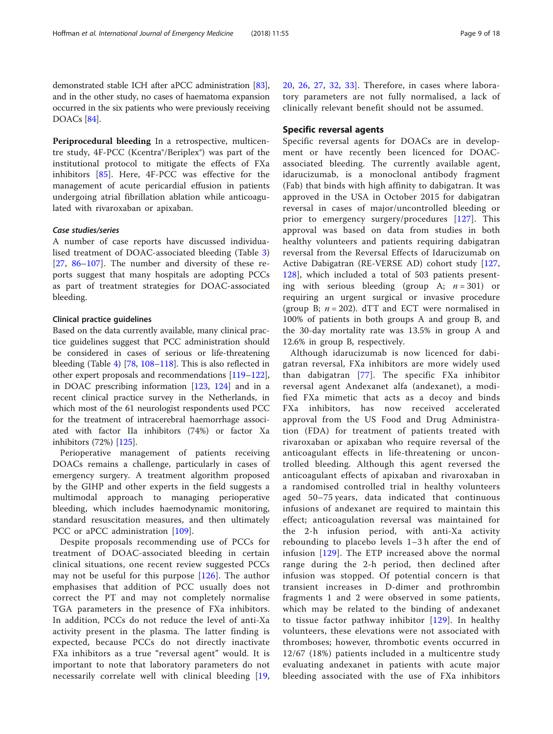demonstrated stable ICH after aPCC administration [[83](#page-16-0)], and in the other study, no cases of haematoma expansion occurred in the six patients who were previously receiving DOACs [\[84\]](#page-16-0).

Periprocedural bleeding In a retrospective, multicentre study, 4F-PCC (Kcentra®/Beriplex®) was part of the institutional protocol to mitigate the effects of FXa inhibitors [\[85](#page-16-0)]. Here, 4F-PCC was effective for the management of acute pericardial effusion in patients undergoing atrial fibrillation ablation while anticoagulated with rivaroxaban or apixaban.

#### Case studies/series

A number of case reports have discussed individualised treatment of DOAC-associated bleeding (Table [3](#page-9-0)) [[27,](#page-15-0) [86](#page-16-0)–[107](#page-17-0)]. The number and diversity of these reports suggest that many hospitals are adopting PCCs as part of treatment strategies for DOAC-associated bleeding.

#### Clinical practice guidelines

Based on the data currently available, many clinical practice guidelines suggest that PCC administration should be considered in cases of serious or life-threatening bleeding (Table [4](#page-12-0)) [[78](#page-16-0), [108](#page-17-0)–[118\]](#page-17-0). This is also reflected in other expert proposals and recommendations [[119](#page-17-0)–[122](#page-17-0)], in DOAC prescribing information [\[123,](#page-17-0) [124\]](#page-17-0) and in a recent clinical practice survey in the Netherlands, in which most of the 61 neurologist respondents used PCC for the treatment of intracerebral haemorrhage associated with factor IIa inhibitors (74%) or factor Xa inhibitors (72%) [[125\]](#page-17-0).

Perioperative management of patients receiving DOACs remains a challenge, particularly in cases of emergency surgery. A treatment algorithm proposed by the GIHP and other experts in the field suggests a multimodal approach to managing perioperative bleeding, which includes haemodynamic monitoring, standard resuscitation measures, and then ultimately PCC or aPCC administration [\[109](#page-17-0)].

Despite proposals recommending use of PCCs for treatment of DOAC-associated bleeding in certain clinical situations, one recent review suggested PCCs may not be useful for this purpose [[126](#page-17-0)]. The author emphasises that addition of PCC usually does not correct the PT and may not completely normalise TGA parameters in the presence of FXa inhibitors. In addition, PCCs do not reduce the level of anti-Xa activity present in the plasma. The latter finding is expected, because PCCs do not directly inactivate FXa inhibitors as a true "reversal agent" would. It is important to note that laboratory parameters do not necessarily correlate well with clinical bleeding [[19](#page-15-0), [20,](#page-15-0) [26,](#page-15-0) [27](#page-15-0), [32](#page-15-0), [33\]](#page-15-0). Therefore, in cases where laboratory parameters are not fully normalised, a lack of clinically relevant benefit should not be assumed.

# Specific reversal agents

Specific reversal agents for DOACs are in development or have recently been licenced for DOACassociated bleeding. The currently available agent, idarucizumab, is a monoclonal antibody fragment (Fab) that binds with high affinity to dabigatran. It was approved in the USA in October 2015 for dabigatran reversal in cases of major/uncontrolled bleeding or prior to emergency surgery/procedures [\[127\]](#page-17-0). This approval was based on data from studies in both healthy volunteers and patients requiring dabigatran reversal from the Reversal Effects of Idarucizumab on Active Dabigatran (RE-VERSE AD) cohort study [\[127](#page-17-0), [128\]](#page-17-0), which included a total of 503 patients presenting with serious bleeding (group A;  $n = 301$ ) or requiring an urgent surgical or invasive procedure (group B;  $n = 202$ ). dTT and ECT were normalised in 100% of patients in both groups A and group B, and the 30-day mortality rate was 13.5% in group A and 12.6% in group B, respectively.

Although idarucizumab is now licenced for dabigatran reversal, FXa inhibitors are more widely used than dabigatran [[77\]](#page-16-0). The specific FXa inhibitor reversal agent Andexanet alfa (andexanet), a modified FXa mimetic that acts as a decoy and binds FXa inhibitors, has now received accelerated approval from the US Food and Drug Administration (FDA) for treatment of patients treated with rivaroxaban or apixaban who require reversal of the anticoagulant effects in life-threatening or uncontrolled bleeding. Although this agent reversed the anticoagulant effects of apixaban and rivaroxaban in a randomised controlled trial in healthy volunteers aged 50–75 years, data indicated that continuous infusions of andexanet are required to maintain this effect; anticoagulation reversal was maintained for the 2-h infusion period, with anti-Xa activity rebounding to placebo levels 1–3 h after the end of infusion [\[129\]](#page-17-0). The ETP increased above the normal range during the 2-h period, then declined after infusion was stopped. Of potential concern is that transient increases in D-dimer and prothrombin fragments 1 and 2 were observed in some patients, which may be related to the binding of andexanet to tissue factor pathway inhibitor [\[129\]](#page-17-0). In healthy volunteers, these elevations were not associated with thromboses; however, thrombotic events occurred in 12/67 (18%) patients included in a multicentre study evaluating andexanet in patients with acute major bleeding associated with the use of FXa inhibitors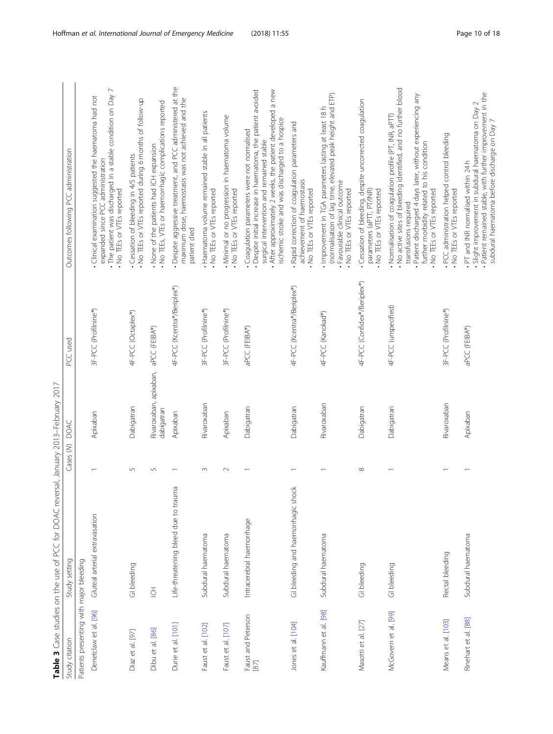<span id="page-9-0"></span>

|                                         | Table 3 Case studies on the use of PCC for DOAC reversal, January 2013-February 2017 |                |                                      |                              |                                                                                                                                                                                                                                                                                            |
|-----------------------------------------|--------------------------------------------------------------------------------------|----------------|--------------------------------------|------------------------------|--------------------------------------------------------------------------------------------------------------------------------------------------------------------------------------------------------------------------------------------------------------------------------------------|
| Study citation                          | Study setting                                                                        | Cases (M) DOAC |                                      | PCC used                     | Outcomes following PCC administration                                                                                                                                                                                                                                                      |
| Patients presenting with major bleeding |                                                                                      |                |                                      |                              |                                                                                                                                                                                                                                                                                            |
| Denetclaw et al. [96]                   | Gluteal arterial extravasation                                                       |                | Apixaban                             | 3F-PCC (Profilnine®)         | • The patient was discharged in a stable condition on Day 7<br>Clinical examination suggested the haematoma had not<br>expanded since PCC administration<br>. No TEEs or VTEs reported                                                                                                     |
| Diaz et al. [97]                        | GI bleeding                                                                          | 5              | Dabigatran                           | 4F-PCC (Octaplex®)           | . No TEEs or VTEs reported during 6 months of follow-up<br>· Cessation of bleeding in 4/5 patients                                                                                                                                                                                         |
| Dibu et al. [86]                        | $\overline{\underline{C}}$                                                           | 5              | Rivaroxaban, apixaban,<br>dabigatran | aPCC (FEIBA®)                | • No TEEs, VTEs or haemorrhagic complications reported<br>None of the patients had ICH expansion                                                                                                                                                                                           |
| Durie et al. [101]                      | Life-threatening bleed due to trauma                                                 |                | Apixaban                             | 4F-PCC (Kcentra®/Beriplex®)  | Despite aggressive treatment, and PCC administered at the<br>maximum dose, haemostasis was not achieved and the<br>patient died                                                                                                                                                            |
| Faust et al. [102]                      | Subdural haematoma                                                                   | $\infty$       | Rivaroxaban                          | 3F-PCC (Profilnine®)         | . Haematoma volume remained stable in all patients<br>. No TEEs or VTEs reported                                                                                                                                                                                                           |
| Faust et al. [107]                      | Subdural haematoma                                                                   | $\sim$         | Apixaban                             | 3F-PCC (Profilnine®)         | . Minimal or no progression in haematoma volume<br>. No TEEs or VTEs reported                                                                                                                                                                                                              |
| Faust and Peterson<br>[87]              | Intracerebral haemorrhage                                                            |                | Dabigatran                           | aPCC (FEIBA®)                | · Despite initial increase in haematoma, the patient avoided<br>After approximately 2 weeks, the patient developed a new<br>ischemic stroke and was discharged to a hospice<br>Coagulation parameters were not normalised<br>surgical intervention and remained stable                     |
| Jones et al. [104]                      | GI bleeding and haemorrhagic shock                                                   |                | Dabigatran                           | 4F-PCC (Kcentra®/Beriplex®)  | Rapid correction of coagulation parameters and<br>achievement of haemostasis<br>. No TEEs or VTEs reported                                                                                                                                                                                 |
| Kauffmann et al. [98]                   | Subdural haematoma                                                                   |                | Rivaroxaban                          | 4F-PCC (Kanokad®)            | (normalisation of lag time, elevated peak height and ETP)<br>. Improvement in TGA parameters lasting at least 18h<br>· Favourable clinical outcome<br>. No TEEs or VTEs reported                                                                                                           |
| Masotti et al. [27]                     | GI bleeding                                                                          | $\infty$       | Dabigatran                           | 4F-PCC (Confidex®/Beriplex®) | · Cessation of bleeding, despite uncorrected coagulation<br>parameters (aPTT, PT/INR)<br>No TEEs or VTEs reported                                                                                                                                                                          |
| McGovern et al. [99]                    | GI bleeding                                                                          |                | Dabigatran                           | 4F-PCC (unspecified)         | . No active sites of bleeding identified, and no further blood<br>Patient discharged 4 days later, without experiencing any<br>. Normalisation of coagulation profile (PT, INR, aPTT)<br>further morbidity related to his condition<br>. No TEEs or VTEs reported<br>transfusions required |
| Means et al. [103]                      | Rectal bleeding                                                                      |                | Rivaroxaban                          | 3F-PCC (Profilnine®)         | . PCC administration helped control bleeding<br>. No TEEs or VTEs reported                                                                                                                                                                                                                 |
| Rinehart et al. [88]                    | Subdural haematoma                                                                   |                | Apixaban                             | aPCC (FEIBA®)                | . Patient remained stable, with further improvement in the<br>· Slight improvement in subdural haematoma on Day 2<br>subdural haematoma before discharge on Day 7<br>. PT and INR normalised within 24h                                                                                    |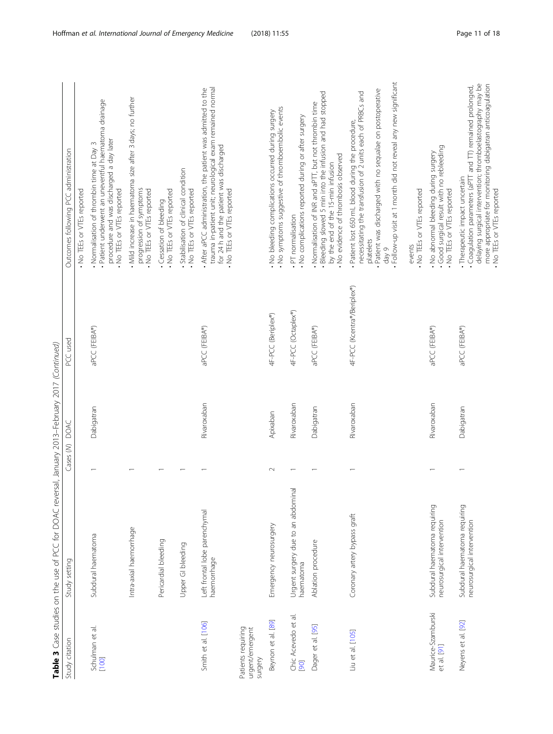| PCC used | いっくん<br>)<br>No<br>ここ ここ<br>A مصدر ۱۸<br>į                   | tudy settin |
|----------|--------------------------------------------------------------|-------------|
|          | of PCC for DOAC reversal, January 2013-February 2017 (Contin |             |

|                                                  | Table 3 Case studies on the use of PCC for DOAC rever      |                | (Sal, January 2013–February 2017 (Continued) |                             |                                                                                                                                                                                                                                                                              |
|--------------------------------------------------|------------------------------------------------------------|----------------|----------------------------------------------|-----------------------------|------------------------------------------------------------------------------------------------------------------------------------------------------------------------------------------------------------------------------------------------------------------------------|
| Study citation                                   | Study setting                                              | Cases (M) DOAC |                                              | PCC used                    | Outcomes following PCC administration                                                                                                                                                                                                                                        |
|                                                  |                                                            |                |                                              |                             | . No TEEs or VTEs reported                                                                                                                                                                                                                                                   |
| Schulman et al.<br>[100]                         | Subdural haematoma                                         |                | Dabigatran                                   | aPCC (FEIBA®)               | · Patient underwent an uneventful haematoma drainage<br>procedure and was discharged a day later<br>Normalisation of thrombin time at Day 3<br>. No TEEs or VTEs reported                                                                                                    |
|                                                  | Intra-axial haemorrhage                                    |                |                                              |                             | . Mild increase in haematoma size after 3 days; no further<br>progression of symptoms<br>. No TEEs or VTEs reported                                                                                                                                                          |
|                                                  | Pericardial bleeding                                       |                |                                              |                             | . No TEEs or VTEs reported<br>· Cessation of bleeding                                                                                                                                                                                                                        |
|                                                  | Upper GI bleeding                                          |                |                                              |                             | Stabilisation of clinical condition<br>. No TEEs or VTEs reported                                                                                                                                                                                                            |
| Smith et al. [106]                               | Left frontal lobe parenchymal<br>haemorrhage               |                | Rivaroxaban                                  | aPCC (FEIBA®)               | trauma in-patient unit; neurological exam remained normal<br>. After aPCC administration, the patient was admitted to the<br>for 24 h and the patient was discharged<br>. No TEEs or VTEs reported                                                                           |
| Patients requiring<br>urgent/emergent<br>surgery |                                                            |                |                                              |                             |                                                                                                                                                                                                                                                                              |
| Beynon et al. [89]                               | Emergency neurosurgery                                     | $\sim$         | Apixaban                                     | 4F-PCC (Beriplex®)          | . No symptoms suggestive of thromboembolic events<br>. No bleeding complications occurred during surgery                                                                                                                                                                     |
| Chic Acevedo et al.<br>[06]                      | Urgent surgery due to an abdominal<br>haematoma            |                | Rivaroxaban                                  | 4F-PCC (Octaplex®)          | . No complications reported during or after surgery<br>. PT normalisation                                                                                                                                                                                                    |
| Dager et al. [95]                                | Ablation procedure                                         |                | Dabigatran                                   | aPCC (FEIBA®)               | - Bleeding slowed 5 min into the infusion and had stopped<br>. Normalisation of INR and aPTT, but not thrombin time<br>. No evidence of thrombosis observed<br>by the end of the 15-min infusion                                                                             |
| Liu et al. [105]                                 | Coronary artery bypass graft                               |                | Rivaroxaban                                  | 4F-PCC (Kcentra®/Beriplex®) | Follow-up visit at 1 month did not reveal any new significant<br>. Patient was discharged with no sequalae on postoperative<br>necessitating the transfusion of 2 units each of PRBCs and<br>Patient lost 650 mL blood during the procedure,<br>platelets<br>$e$ $\sqrt{ep}$ |
|                                                  |                                                            |                |                                              |                             | . No TEEs or VTEs reported<br>events                                                                                                                                                                                                                                         |
| Maurice-Szamburski<br>et al. [91]                | Subdural haematoma requiring<br>neurosurgical intervention |                | Rivaroxaban                                  | aPCC (FEIBA®)               | Good surgical result with no rebleeding<br>• No abnormal bleeding during surgery<br>. No TEEs or VTEs reported                                                                                                                                                               |
| Neyens et al. [92]                               | Subdural haematoma requiring<br>neurosurgical intervention |                | Dabigatran                                   | aPCC (FEIBA®)               | delaying surgical intervention; thromboelastography may be<br>more appropriate for monitoring dabigatran anticoagulation<br>Coagulation parameters (aPTT and TT) remained prolonged,<br>· Therapeutic impact uncertain<br>. No TEEs or VTEs reported                         |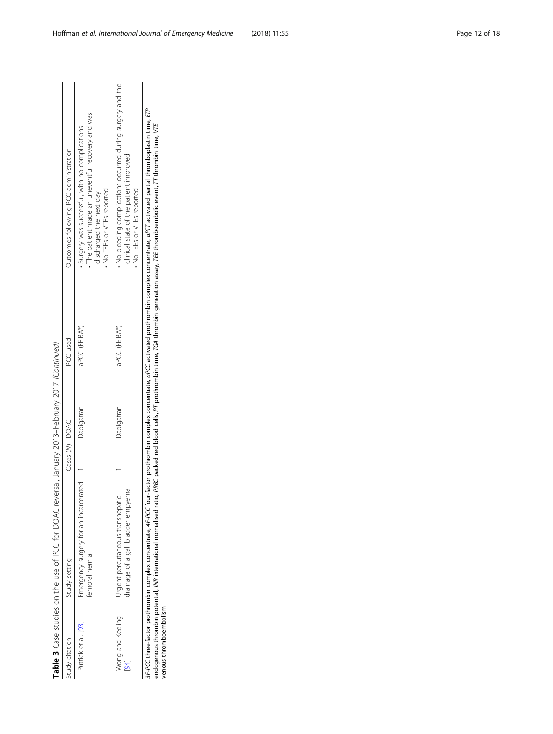|                                                                                                  | Outcomes following PCC administration | The patient made an uneventful recovery and was<br>Surgery was successful, with no complications<br>No TEEs or VTEs reported<br>discharged the next day | No bleeding complications occurred during surgery and the<br>clinical state of the patient improved<br>No TEEs or VTEs reported |
|--------------------------------------------------------------------------------------------------|---------------------------------------|---------------------------------------------------------------------------------------------------------------------------------------------------------|---------------------------------------------------------------------------------------------------------------------------------|
|                                                                                                  | PCC used                              | aPCC (FEIBA®)                                                                                                                                           | aPCC (FEIBA®)                                                                                                                   |
|                                                                                                  | Cases (M) DOAC                        | Dabigatran                                                                                                                                              | Dabigatran                                                                                                                      |
| Table 3 Case studies on the use of PCC for DOAC reversal, January 2013-February 2017 (Continued) | Study setting                         | Emergency surgery for an incarcerated<br>emoral hernia                                                                                                  | drainage of a gall bladder empyema<br>Jrgent percutaneous transhepatic                                                          |
|                                                                                                  | study citation                        | Puttick et al. [93]                                                                                                                                     | Wong and Keeling<br>94]                                                                                                         |

3F-PCC three-factor prothrombin complex concentrate, 4F-PCC four-factor prothrombin cometrate, aPC activated prothrombin complex concentrate, aPTT activated partial thromboplastin time, ETP<br>endogenous thrombin potential, I 3F-PCC three-factor prothrombin complex concentrate, 4F-PCC four-factor prothrombin complex concentrated prothrombin complex concentrate, aPTT activated partial thromboplastin time, ETP endogenous thrombin potential, INR international normalised ratio, PRBC packed red blood cells, PT prothrombin time, TGA thrombin generation assay, TEE thromboembolic event, TT thrombin time, VTE venous thromboembolism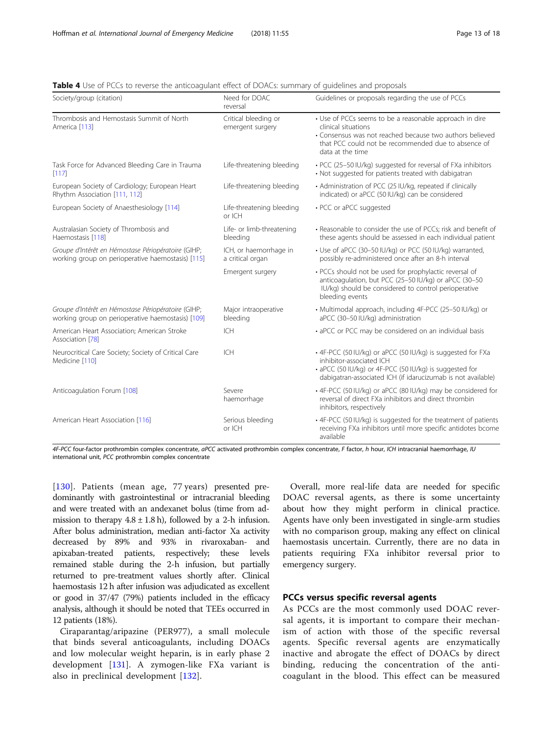<span id="page-12-0"></span>

| <b>Table 4</b> Use of PCCs to reverse the anticoagulant effect of DOACs: summary of quidelines and proposals |  |  |
|--------------------------------------------------------------------------------------------------------------|--|--|
|                                                                                                              |  |  |

| Society/group (citation)                                                                                 | Need for DOAC<br>reversal                  | Guidelines or proposals regarding the use of PCCs                                                                                                                                                                     |
|----------------------------------------------------------------------------------------------------------|--------------------------------------------|-----------------------------------------------------------------------------------------------------------------------------------------------------------------------------------------------------------------------|
| Thrombosis and Hemostasis Summit of North<br>America [113]                                               | Critical bleeding or<br>emergent surgery   | • Use of PCCs seems to be a reasonable approach in dire<br>clinical situations<br>• Consensus was not reached because two authors believed<br>that PCC could not be recommended due to absence of<br>data at the time |
| Task Force for Advanced Bleeding Care in Trauma<br>[117]                                                 | Life-threatening bleeding                  | · PCC (25-50 IU/kg) suggested for reversal of FXa inhibitors<br>• Not suggested for patients treated with dabigatran                                                                                                  |
| European Society of Cardiology; European Heart<br>Rhythm Association [111, 112]                          | Life-threatening bleeding                  | • Administration of PCC (25 IU/kg, repeated if clinically<br>indicated) or aPCC (50 IU/kg) can be considered                                                                                                          |
| European Society of Anaesthesiology [114]                                                                | Life-threatening bleeding<br>or ICH        | • PCC or aPCC suggested                                                                                                                                                                                               |
| Australasian Society of Thrombosis and<br>Haemostasis [118]                                              | Life- or limb-threatening<br>bleeding      | • Reasonable to consider the use of PCCs; risk and benefit of<br>these agents should be assessed in each individual patient                                                                                           |
| Groupe d'Intérêt en Hémostase Périopératoire (GIHP;<br>working group on perioperative haemostasis) [115] | ICH, or haemorrhage in<br>a critical organ | • Use of aPCC (30-50 IU/kg) or PCC (50 IU/kg) warranted,<br>possibly re-administered once after an 8-h interval                                                                                                       |
|                                                                                                          | Emergent surgery                           | · PCCs should not be used for prophylactic reversal of<br>anticoagulation, but PCC (25-50 IU/kg) or aPCC (30-50<br>IU/kg) should be considered to control perioperative<br>bleeding events                            |
| Groupe d'Intérêt en Hémostase Périopératoire (GIHP;<br>working group on perioperative haemostasis) [109] | Major intraoperative<br>bleeding           | · Multimodal approach, including 4F-PCC (25-50 IU/kg) or<br>aPCC (30-50 IU/kg) administration                                                                                                                         |
| American Heart Association; American Stroke<br>Association [78]                                          | <b>ICH</b>                                 | • aPCC or PCC may be considered on an individual basis                                                                                                                                                                |
| Neurocritical Care Society; Society of Critical Care<br>Medicine [110]                                   | ICH                                        | • 4F-PCC (50 IU/kg) or aPCC (50 IU/kg) is suggested for FXa<br>inhibitor-associated ICH<br>• aPCC (50 IU/kg) or 4F-PCC (50 IU/kg) is suggested for<br>dabigatran-associated ICH (if idarucizumab is not available)    |
| Anticoagulation Forum [108]                                                                              | Severe<br>haemorrhage                      | • 4F-PCC (50 IU/kg) or aPCC (80 IU/kg) may be considered for<br>reversal of direct FXa inhibitors and direct thrombin<br>inhibitors, respectively                                                                     |
| American Heart Association [116]                                                                         | Serious bleeding<br>or ICH                 | • 4F-PCC (50 IU/kg) is suggested for the treatment of patients<br>receiving FXa inhibitors until more specific antidotes bcome<br>available                                                                           |

4F-PCC four-factor prothrombin complex concentrate, aPCC activated prothrombin complex concentrate, F factor, h hour, ICH intracranial haemorrhage, IU international unit, PCC prothrombin complex concentrate

[[130\]](#page-17-0). Patients (mean age, 77 years) presented predominantly with gastrointestinal or intracranial bleeding and were treated with an andexanet bolus (time from admission to therapy  $4.8 \pm 1.8$  h), followed by a 2-h infusion. After bolus administration, median anti-factor Xa activity decreased by 89% and 93% in rivaroxaban- and apixaban-treated patients, respectively; these levels remained stable during the 2-h infusion, but partially returned to pre-treatment values shortly after. Clinical haemostasis 12 h after infusion was adjudicated as excellent or good in 37/47 (79%) patients included in the efficacy analysis, although it should be noted that TEEs occurred in 12 patients (18%).

Ciraparantag/aripazine (PER977), a small molecule that binds several anticoagulants, including DOACs and low molecular weight heparin, is in early phase 2 development [[131\]](#page-17-0). A zymogen-like FXa variant is also in preclinical development [[132\]](#page-17-0).

Overall, more real-life data are needed for specific DOAC reversal agents, as there is some uncertainty about how they might perform in clinical practice. Agents have only been investigated in single-arm studies with no comparison group, making any effect on clinical haemostasis uncertain. Currently, there are no data in patients requiring FXa inhibitor reversal prior to emergency surgery.

# PCCs versus specific reversal agents

As PCCs are the most commonly used DOAC reversal agents, it is important to compare their mechanism of action with those of the specific reversal agents. Specific reversal agents are enzymatically inactive and abrogate the effect of DOACs by direct binding, reducing the concentration of the anticoagulant in the blood. This effect can be measured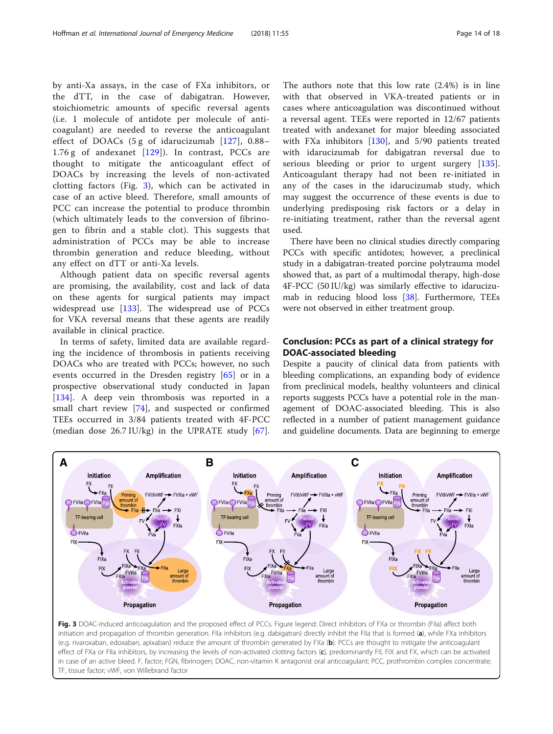thrombin generation and reduce bleeding, without

Although patient data on specific reversal agents are promising, the availability, cost and lack of data on these agents for surgical patients may impact widespread use [\[133](#page-17-0)]. The widespread use of PCCs for VKA reversal means that these agents are readily

In terms of safety, limited data are available regarding the incidence of thrombosis in patients receiving DOACs who are treated with PCCs; however, no such events occurred in the Dresden registry [[65\]](#page-16-0) or in a prospective observational study conducted in Japan [[134\]](#page-17-0). A deep vein thrombosis was reported in a small chart review [\[74](#page-16-0)], and suspected or confirmed TEEs occurred in 3/84 patients treated with 4F-PCC (median dose 26.7 IU/kg) in the UPRATE study [\[67](#page-16-0)].

any effect on dTT or anti-Xa levels.

available in clinical practice.

by anti-Xa assays, in the case of FXa inhibitors, or the dTT, in the case of dabigatran. However, stoichiometric amounts of specific reversal agents (i.e. 1 molecule of antidote per molecule of anticoagulant) are needed to reverse the anticoagulant effect of DOACs (5 g of idarucizumab [\[127\]](#page-17-0), 0.88– 1.76 g of andexanet [[129\]](#page-17-0)). In contrast, PCCs are thought to mitigate the anticoagulant effect of DOACs by increasing the levels of non-activated clotting factors (Fig. 3), which can be activated in case of an active bleed. Therefore, small amounts of PCC can increase the potential to produce thrombin (which ultimately leads to the conversion of fibrinogen to fibrin and a stable clot). This suggests that administration of PCCs may be able to increase The authors note that this low rate (2.4%) is in line with that observed in VKA-treated patients or in cases where anticoagulation was discontinued without a reversal agent. TEEs were reported in 12/67 patients treated with andexanet for major bleeding associated with FXa inhibitors [[130\]](#page-17-0), and 5/90 patients treated with idarucizumab for dabigatran reversal due to serious bleeding or prior to urgent surgery [\[135](#page-17-0)]. Anticoagulant therapy had not been re-initiated in any of the cases in the idarucizumab study, which may suggest the occurrence of these events is due to underlying predisposing risk factors or a delay in re-initiating treatment, rather than the reversal agent used.

There have been no clinical studies directly comparing PCCs with specific antidotes; however, a preclinical study in a dabigatran-treated porcine polytrauma model showed that, as part of a multimodal therapy, high-dose 4F-PCC (50 IU/kg) was similarly effective to idarucizumab in reducing blood loss [[38\]](#page-15-0). Furthermore, TEEs were not observed in either treatment group.

# Conclusion: PCCs as part of a clinical strategy for DOAC-associated bleeding

Despite a paucity of clinical data from patients with bleeding complications, an expanding body of evidence from preclinical models, healthy volunteers and clinical reports suggests PCCs have a potential role in the management of DOAC-associated bleeding. This is also reflected in a number of patient management guidance and guideline documents. Data are beginning to emerge

Fig. 3 DOAC-induced anticoagulation and the proposed effect of PCCs. Figure legend: Direct inhibitors of FXa or thrombin (FIIa) affect both initiation and propagation of thrombin generation. Flla inhibitors (e.g. dabigatran) directly inhibit the Flla that is formed (a), while FXa inhibitors (e.g. rivaroxaban, edoxaban, apixaban) reduce the amount of thrombin generated by FXa (b). PCCs are thought to mitigate the anticoagulant effect of FXa or FIIa inhibitors, by increasing the levels of non-activated clotting factors (c), predominantly FII, FIX and FX, which can be activated in case of an active bleed. F, factor; FGN, fibrinogen; DOAC, non-vitamin K antagonist oral anticoagulant; PCC, prothrombin complex concentrate; TF, tissue factor; vWF, von Willebrand factor

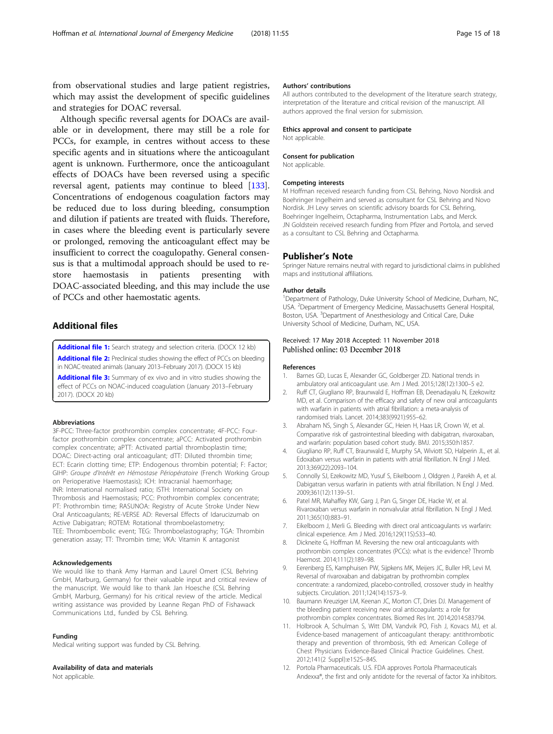<span id="page-14-0"></span>from observational studies and large patient registries, which may assist the development of specific guidelines and strategies for DOAC reversal.

Although specific reversal agents for DOACs are available or in development, there may still be a role for PCCs, for example, in centres without access to these specific agents and in situations where the anticoagulant agent is unknown. Furthermore, once the anticoagulant effects of DOACs have been reversed using a specific reversal agent, patients may continue to bleed [\[133](#page-17-0)]. Concentrations of endogenous coagulation factors may be reduced due to loss during bleeding, consumption and dilution if patients are treated with fluids. Therefore, in cases where the bleeding event is particularly severe or prolonged, removing the anticoagulant effect may be insufficient to correct the coagulopathy. General consensus is that a multimodal approach should be used to restore haemostasis in patients presenting with DOAC-associated bleeding, and this may include the use of PCCs and other haemostatic agents.

# Additional files

[Additional file 1:](https://doi.org/10.1186/s12245-018-0215-6) Search strategy and selection criteria. (DOCX 12 kb)

[Additional file 2:](https://doi.org/10.1186/s12245-018-0215-6) Preclinical studies showing the effect of PCCs on bleeding in NOAC-treated animals (January 2013–February 2017). (DOCX 15 kb) [Additional file 3:](https://doi.org/10.1186/s12245-018-0215-6) Summary of ex vivo and in vitro studies showing the

effect of PCCs on NOAC-induced coagulation (January 2013–February 2017). (DOCX 20 kb)

#### Abbreviations

3F-PCC: Three-factor prothrombin complex concentrate; 4F-PCC: Fourfactor prothrombin complex concentrate; aPCC: Activated prothrombin complex concentrate; aPTT: Activated partial thromboplastin time; DOAC: Direct-acting oral anticoagulant; dTT: Diluted thrombin time; ECT: Ecarin clotting time; ETP: Endogenous thrombin potential; F: Factor; GIHP: Groupe d'Intérêt en Hémostase Périopératoire (French Working Group on Perioperative Haemostasis); ICH: Intracranial haemorrhage; INR: International normalised ratio; ISTH: International Society on Thrombosis and Haemostasis; PCC: Prothrombin complex concentrate; PT: Prothrombin time; RASUNOA: Registry of Acute Stroke Under New Oral Anticoagulants; RE-VERSE AD: Reversal Effects of Idarucizumab on Active Dabigatran; ROTEM: Rotational thromboelastometry; TEE: Thromboembolic event; TEG: Thromboelastography; TGA: Thrombin generation assay; TT: Thrombin time; VKA: Vitamin K antagonist

#### Acknowledgements

We would like to thank Amy Harman and Laurel Omert (CSL Behring GmbH, Marburg, Germany) for their valuable input and critical review of the manuscript. We would like to thank Jan Hoesche (CSL Behring GmbH, Marburg, Germany) for his critical review of the article. Medical writing assistance was provided by Leanne Regan PhD of Fishawack Communications Ltd., funded by CSL Behring.

#### Funding

Medical writing support was funded by CSL Behring.

#### Availability of data and materials

Not applicable.

#### Authors' contributions

All authors contributed to the development of the literature search strategy, interpretation of the literature and critical revision of the manuscript. All authors approved the final version for submission.

#### Ethics approval and consent to participate

Not applicable.

#### Consent for publication

Not applicable.

#### Competing interests

M Hoffman received research funding from CSL Behring, Novo Nordisk and Boehringer Ingelheim and served as consultant for CSL Behring and Novo Nordisk. JH Levy serves on scientific advisory boards for CSL Behring, Boehringer Ingelheim, Octapharma, Instrumentation Labs, and Merck. JN Goldstein received research funding from Pfizer and Portola, and served as a consultant to CSL Behring and Octapharma.

#### Publisher's Note

Springer Nature remains neutral with regard to jurisdictional claims in published maps and institutional affiliations.

#### Author details

<sup>1</sup>Department of Pathology, Duke University School of Medicine, Durham, NC, USA. <sup>2</sup> Department of Emergency Medicine, Massachusetts General Hospital Boston, USA. <sup>3</sup> Department of Anesthesiology and Critical Care, Duke University School of Medicine, Durham, NC, USA.

## Received: 17 May 2018 Accepted: 11 November 2018 Published online: 03 December 2018

#### References

- 1. Barnes GD, Lucas E, Alexander GC, Goldberger ZD. National trends in ambulatory oral anticoagulant use. Am J Med. 2015;128(12):1300–5 e2.
- 2. Ruff CT, Giugliano RP, Braunwald E, Hoffman EB, Deenadayalu N, Ezekowitz MD, et al. Comparison of the efficacy and safety of new oral anticoagulants with warfarin in patients with atrial fibrillation: a meta-analysis of randomised trials. Lancet. 2014;383(9921):955–62.
- 3. Abraham NS, Singh S, Alexander GC, Heien H, Haas LR, Crown W, et al. Comparative risk of gastrointestinal bleeding with dabigatran, rivaroxaban, and warfarin: population based cohort study. BMJ. 2015;350:h1857.
- 4. Giugliano RP, Ruff CT, Braunwald E, Murphy SA, Wiviott SD, Halperin JL, et al. Edoxaban versus warfarin in patients with atrial fibrillation. N Engl J Med. 2013;369(22):2093–104.
- 5. Connolly SJ, Ezekowitz MD, Yusuf S, Eikelboom J, Oldgren J, Parekh A, et al. Dabigatran versus warfarin in patients with atrial fibrillation. N Engl J Med. 2009;361(12):1139–51.
- 6. Patel MR, Mahaffey KW, Garg J, Pan G, Singer DE, Hacke W, et al. Rivaroxaban versus warfarin in nonvalvular atrial fibrillation. N Engl J Med. 2011;365(10):883–91.
- 7. Eikelboom J, Merli G. Bleeding with direct oral anticoagulants vs warfarin: clinical experience. Am J Med. 2016;129(11S):S33–40.
- 8. Dickneite G, Hoffman M. Reversing the new oral anticoagulants with prothrombin complex concentrates (PCCs): what is the evidence? Thromb Haemost. 2014;111(2):189–98.
- 9. Eerenberg ES, Kamphuisen PW, Sijpkens MK, Meijers JC, Buller HR, Levi M. Reversal of rivaroxaban and dabigatran by prothrombin complex concentrate: a randomized, placebo-controlled, crossover study in healthy subjects. Circulation. 2011;124(14):1573–9.
- 10. Baumann Kreuziger LM, Keenan JC, Morton CT, Dries DJ. Management of the bleeding patient receiving new oral anticoagulants: a role for prothrombin complex concentrates. Biomed Res Int. 2014;2014:583794.
- 11. Holbrook A, Schulman S, Witt DM, Vandvik PO, Fish J, Kovacs MJ, et al. Evidence-based management of anticoagulant therapy: antithrombotic therapy and prevention of thrombosis, 9th ed: American College of Chest Physicians Evidence-Based Clinical Practice Guidelines. Chest. 2012;141(2 Suppl):e152S–84S.
- 12. Portola Pharmaceuticals. U.S. FDA approves Portola Pharmaceuticals Andexxa®, the first and only antidote for the reversal of factor Xa inhibitors.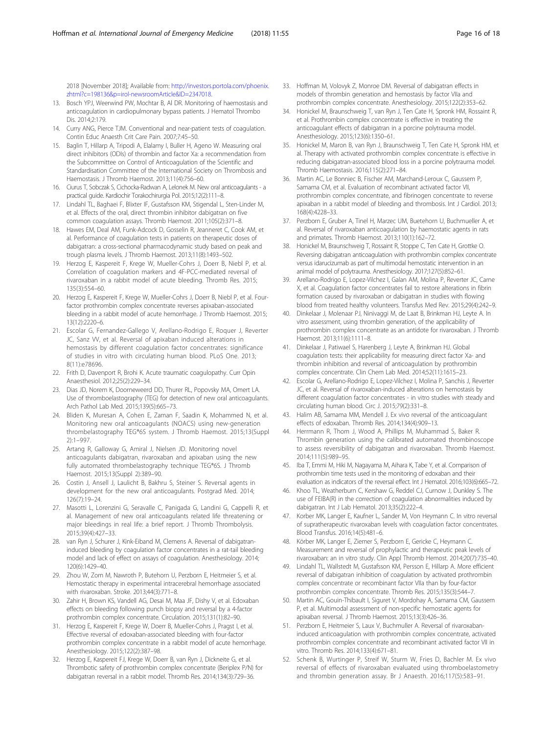<span id="page-15-0"></span>2018 [November 2018]; Available from: [http://investors.portola.com/phoenix.](http://investors.portola.com/phoenix.zhtml?c=198136&p=irol-newsroomArticle&ID=2347018) [zhtml?c=198136&p=irol-newsroomArticle&ID=2347018.](http://investors.portola.com/phoenix.zhtml?c=198136&p=irol-newsroomArticle&ID=2347018)

- 13. Bosch YPJ, Weerwind PW, Mochtar B, Al DR. Monitoring of haemostasis and anticoagulation in cardiopulmonary bypass patients. J Hematol Thrombo Dis. 2014;2:179.
- 14. Curry ANG, Pierce TJM. Conventional and near-patient tests of coagulation. Contin Educ Anaesth Crit Care Pain. 2007;7:45–50.
- 15. Baglin T, Hillarp A, Tripodi A, Elalamy I, Buller H, Ageno W. Measuring oral direct inhibitors (ODIs) of thrombin and factor Xa: a recommendation from the Subcommittee on Control of Anticoagulation of the Scientific and Standardisation Committee of the International Society on Thrombosis and Haemostasis. J Thromb Haemost. 2013;11(4):756–60.
- 16. Ciurus T, Sobczak S, Cichocka-Radwan A, Lelonek M. New oral anticoagulants a practical guide. Kardiochir Torakochirurgia Pol. 2015;12(2):111–8.
- 17. Lindahl TL, Baghaei F, Blixter IF, Gustafsson KM, Stigendal L, Sten-Linder M, et al. Effects of the oral, direct thrombin inhibitor dabigatran on five common coagulation assays. Thromb Haemost. 2011;105(2):371–8.
- 18. Hawes EM, Deal AM, Funk-Adcock D, Gosselin R, Jeanneret C, Cook AM, et al. Performance of coagulation tests in patients on therapeutic doses of dabigatran: a cross-sectional pharmacodynamic study based on peak and trough plasma levels. J Thromb Haemost. 2013;11(8):1493–502.
- 19. Herzog E, Kaspereit F, Krege W, Mueller-Cohrs J, Doerr B, Niebl P, et al. Correlation of coagulation markers and 4F-PCC-mediated reversal of rivaroxaban in a rabbit model of acute bleeding. Thromb Res. 2015; 135(3):554–60.
- 20. Herzog E, Kaspereit F, Krege W, Mueller-Cohrs J, Doerr B, Niebl P, et al. Fourfactor prothrombin complex concentrate reverses apixaban-associated bleeding in a rabbit model of acute hemorrhage. J Thromb Haemost. 2015; 13(12):2220–6.
- 21. Escolar G, Fernandez-Gallego V, Arellano-Rodrigo E, Roquer J, Reverter JC, Sanz VV, et al. Reversal of apixaban induced alterations in hemostasis by different coagulation factor concentrates: significance of studies in vitro with circulating human blood. PLoS One. 2013; 8(11):e78696.
- 22. Frith D, Davenport R, Brohi K. Acute traumatic coagulopathy. Curr Opin Anaesthesiol. 2012;25(2):229–34.
- 23. Dias JD, Norem K, Doorneweerd DD, Thurer RL, Popovsky MA, Omert LA. Use of thromboelastography (TEG) for detection of new oral anticoagulants. Arch Pathol Lab Med. 2015;139(5):665–73.
- 24. Bliden K, Muresan A, Cohen E, Zaman F, Saadin K, Mohammed N, et al. Monitoring new oral anticoagulants (NOACS) using new-generation thrombelastography TEG®6S system. J Thromb Haemost. 2015;13(Suppl 2):1–997.
- 25. Artang R, Galloway G, Amiral J, Nielsen JD. Monitoring novel anticoagulants dabigatran, rivaroxaban and apixaban using the new fully automated thrombelastography technique TEG®6S. J Thromb Haemost. 2015;13(Suppl 2):389–90.
- 26. Costin J, Ansell J, Laulicht B, Bakhru S, Steiner S. Reversal agents in development for the new oral anticoagulants. Postgrad Med. 2014; 126(7):19–24.
- 27. Masotti L, Lorenzini G, Seravalle C, Panigada G, Landini G, Cappelli R, et al. Management of new oral anticoagulants related life threatening or major bleedings in real life: a brief report. J Thromb Thrombolysis. 2015;39(4):427–33.
- 28. van Ryn J, Schurer J, Kink-Eiband M, Clemens A. Reversal of dabigatraninduced bleeding by coagulation factor concentrates in a rat-tail bleeding model and lack of effect on assays of coagulation. Anesthesiology. 2014; 120(6):1429–40.
- 29. Zhou W, Zorn M, Nawroth P, Butehorn U, Perzborn E, Heitmeier S, et al. Hemostatic therapy in experimental intracerebral hemorrhage associated with rivaroxaban. Stroke. 2013;44(3):771–8.
- 30. Zahir H, Brown KS, Vandell AG, Desai M, Maa JF, Dishy V, et al. Edoxaban effects on bleeding following punch biopsy and reversal by a 4-factor prothrombin complex concentrate. Circulation. 2015;131(1):82–90.
- 31. Herzog E, Kaspereit F, Krege W, Doerr B, Mueller-Cohrs J, Pragst I, et al. Effective reversal of edoxaban-associated bleeding with four-factor prothrombin complex concentrate in a rabbit model of acute hemorrhage. Anesthesiology. 2015;122(2):387–98.
- 32. Herzog E, Kaspereit FJ, Krege W, Doerr B, van Ryn J, Dickneite G, et al. Thrombotic safety of prothrombin complex concentrate (Beriplex P/N) for dabigatran reversal in a rabbit model. Thromb Res. 2014;134(3):729–36.
- 33. Hoffman M, Volovyk Z, Monroe DM. Reversal of dabigatran effects in models of thrombin generation and hemostasis by factor VIIa and prothrombin complex concentrate. Anesthesiology. 2015;122(2):353–62.
- 34. Honickel M, Braunschweig T, van Ryn J, Ten Cate H, Spronk HM, Rossaint R, et al. Prothrombin complex concentrate is effective in treating the anticoagulant effects of dabigatran in a porcine polytrauma model. Anesthesiology. 2015;123(6):1350–61.
- 35. Honickel M, Maron B, van Ryn J, Braunschweig T, Ten Cate H, Spronk HM, et al. Therapy with activated prothrombin complex concentrate is effective in reducing dabigatran-associated blood loss in a porcine polytrauma model. Thromb Haemostasis. 2016;115(2):271–84.
- 36. Martin AC, Le Bonniec B, Fischer AM, Marchand-Leroux C, Gaussem P, Samama CM, et al. Evaluation of recombinant activated factor VII, prothrombin complex concentrate, and fibrinogen concentrate to reverse apixaban in a rabbit model of bleeding and thrombosis. Int J Cardiol. 2013; 168(4):4228–33.
- 37. Perzborn E, Gruber A, Tinel H, Marzec UM, Buetehorn U, Buchmueller A, et al. Reversal of rivaroxaban anticoagulation by haemostatic agents in rats and primates. Thromb Haemost. 2013;110(1):162–72.
- 38. Honickel M, Braunschweig T, Rossaint R, Stoppe C, Ten Cate H, Grottke O. Reversing dabigatran anticoagulation with prothrombin complex concentrate versus idarucizumab as part of multimodal hemostatic intervention in an animal model of polytrauma. Anesthesiology. 2017;127(5):852–61.
- 39. Arellano-Rodrigo E, Lopez-Vilchez I, Galan AM, Molina P, Reverter JC, Carne X, et al. Coagulation factor concentrates fail to restore alterations in fibrin formation caused by rivaroxaban or dabigatran in studies with flowing blood from treated healthy volunteers. Transfus Med Rev. 2015;29(4):242–9.
- 40. Dinkelaar J, Molenaar PJ, Ninivaggi M, de Laat B, Brinkman HJ, Leyte A. In vitro assessment, using thrombin generation, of the applicability of prothrombin complex concentrate as an antidote for rivaroxaban. J Thromb Haemost. 2013;11(6):1111–8.
- 41. Dinkelaar J, Patiwael S, Harenberg J, Leyte A, Brinkman HJ. Global coagulation tests: their applicability for measuring direct factor Xa- and thrombin inhibition and reversal of anticoagulation by prothrombin complex concentrate. Clin Chem Lab Med. 2014;52(11):1615–23.
- 42. Escolar G, Arellano-Rodrigo E, Lopez-Vilchez I, Molina P, Sanchis J, Reverter JC, et al. Reversal of rivaroxaban-induced alterations on hemostasis by different coagulation factor concentrates - in vitro studies with steady and circulating human blood. Circ J. 2015;79(2):331–8.
- 43. Halim AB, Samama MM, Mendell J. Ex vivo reversal of the anticoagulant effects of edoxaban. Thromb Res. 2014;134(4):909–13.
- 44. Herrmann R, Thom J, Wood A, Phillips M, Muhammad S, Baker R. Thrombin generation using the calibrated automated thrombinoscope to assess reversibility of dabigatran and rivaroxaban. Thromb Haemost. 2014;111(5):989–95.
- 45. Iba T, Emmi M, Hiki M, Nagayama M, Aihara K, Tabe Y, et al. Comparison of prothrombin time tests used in the monitoring of edoxaban and their evaluation as indicators of the reversal effect. Int J Hematol. 2016;103(6):665–72.
- 46. Khoo TL, Weatherburn C, Kershaw G, Reddel CJ, Curnow J, Dunkley S. The use of FEIBA(R) in the correction of coagulation abnormalities induced by dabigatran. Int J Lab Hematol. 2013;35(2):222–4.
- 47. Korber MK, Langer E, Kaufner L, Sander M, Von Heymann C. In vitro reversal of supratherapeutic rivaroxaban levels with coagulation factor concentrates. Blood Transfus. 2016;14(5):481–6.
- 48. Körber MK, Langer E, Ziemer S, Perzborn E, Gericke C, Heymann C. Measurement and reversal of prophylactic and therapeutic peak levels of rivaroxaban: an in vitro study. Clin Appl Thromb Hemost. 2014;20(7):735–40.
- 49. Lindahl TL, Wallstedt M, Gustafsson KM, Persson E, Hillarp A. More efficient reversal of dabigatran inhibition of coagulation by activated prothrombin complex concentrate or recombinant factor VIIa than by four-factor prothrombin complex concentrate. Thromb Res. 2015;135(3):544–7.
- 50. Martin AC, Gouin-Thibault I, Siguret V, Mordohay A, Samama CM, Gaussem P, et al. Multimodal assessment of non-specific hemostatic agents for apixaban reversal. J Thromb Haemost. 2015;13(3):426–36.
- 51. Perzborn E, Heitmeier S, Laux V, Buchmuller A. Reversal of rivaroxabaninduced anticoagulation with prothrombin complex concentrate, activated prothrombin complex concentrate and recombinant activated factor VII in vitro. Thromb Res. 2014;133(4):671–81.
- 52. Schenk B, Wurtinger P, Streif W, Sturm W, Fries D, Bachler M. Ex vivo reversal of effects of rivaroxaban evaluated using thromboelastometry and thrombin generation assay. Br J Anaesth. 2016;117(5):583–91.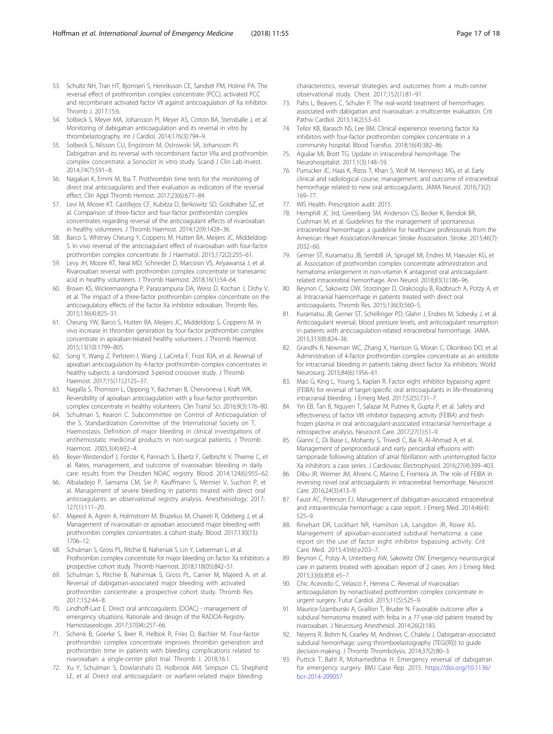- <span id="page-16-0"></span>53. Schultz NH, Tran HT, Bjornsen S, Henriksson CE, Sandset PM, Holme PA. The reversal effect of prothrombin complex concentrate (PCC), activated PCC and recombinant activated factor VII against anticoagulation of Xa inhibitor. Thromb J. 2017;15:6.
- 54. Solbeck S, Meyer MA, Johansson PI, Meyer AS, Cotton BA, Stensballe J, et al. Monitoring of dabigatran anticoagulation and its reversal in vitro by thrombelastography. Int J Cardiol. 2014;176(3):794–9.
- 55. Solbeck S, Nilsson CU, Engstrom M, Ostrowski SR, Johansson PI. Dabigatran and its reversal with recombinant factor VIIa and prothrombin complex concentrate: a Sonoclot in vitro study. Scand J Clin Lab Invest. 2014;74(7):591–8.
- 56. Nagakari K, Emmi M, Iba T. Prothrombin time tests for the monitoring of direct oral anticoagulants and their evaluation as indicators of the reversal effect. Clin Appl Thromb Hemost. 2017;23(6):677–84.
- 57. Levi M, Moore KT, Castillejos CF, Kubitza D, Berkowitz SD, Goldhaber SZ, et al. Comparison of three-factor and four-factor prothrombin complex concentrates regarding reversal of the anticoagulant effects of rivaroxaban in healthy volunteers. J Thromb Haemost. 2014;12(9):1428–36.
- 58. Barco S, Whitney Cheung Y, Coppens M, Hutten BA, Meijers JC, Middeldorp S. In vivo reversal of the anticoagulant effect of rivaroxaban with four-factor prothrombin complex concentrate. Br J Haematol. 2015;172(2):255–61.
- 59. Levy JH, Moore KT, Neal MD, Schneider D, Marcsisin VS, Ariyawansa J, et al. Rivaroxaban reversal with prothrombin complex concentrate or tranexamic acid in healthy volunteers. J Thromb Haemost. 2018;16(1):54–64.
- 60. Brown KS, Wickremasingha P, Parasrampuria DA, Weiss D, Kochan J, Dishy V, et al. The impact of a three-factor prothrombin complex concentrate on the anticoagulatory effects of the factor Xa inhibitor edoxaban. Thromb Res. 2015;136(4):825–31.
- 61. Cheung YW, Barco S, Hutten BA, Meijers JC, Middeldorp S, Coppens M. In vivo increase in thrombin generation by four-factor prothrombin complex concentrate in apixaban-treated healthy volunteers. J Thromb Haemost. 2015;13(10):1799–805.
- 62. Song Y, Wang Z, Perlstein I, Wang J, LaCreta F, Frost RJA, et al. Reversal of apixaban anticoagulation by 4-factor prothrombin complex concentrates in healthy subjects: a randomized 3-period crossover study. J Thromb Haemost. 2017;15(11):2125–37.
- 63. Nagalla S, Thomson L, Oppong Y, Bachman B, Chervoneva I, Kraft WK. Reversibility of apixaban anticoagulation with a four-factor prothrombin complex concentrate in healthy volunteers. Clin Transl Sci. 2016;9(3):176–80.
- 64. Schulman S, Kearon C. Subcommittee on Control of Anticoagulation of the S, Standardization Committee of the International Society on T, Haemostasis. Definition of major bleeding in clinical investigations of antihemostatic medicinal products in non-surgical patients. J Thromb Haemost. 2005;3(4):692–4.
- 65. Beyer-Westendorf J, Forster K, Pannach S, Ebertz F, Gelbricht V, Thieme C, et al. Rates, management, and outcome of rivaroxaban bleeding in daily care: results from the Dresden NOAC registry. Blood. 2014;124(6):955–62.
- 66. Albaladejo P, Samama CM, Sie P, Kauffmann S, Memier V, Suchon P, et al. Management of severe bleeding in patients treated with direct oral anticoagulants: an observational registry analysis. Anesthesiology. 2017; 127(1):111–20.
- 67. Majeed A, Agren A, Holmstrom M, Bruzelius M, Chaireti R, Odeberg J, et al. Management of rivaroxaban or apixaban associated major bleeding with prothrombin complex concentrates: a cohort study. Blood. 2017;130(15): 1706–12.
- 68. Schulman S, Gross PL, Ritchie B, Nahirniak S, Lin Y, Lieberman L, et al. Prothrombin complex concentrate for major bleeding on factor Xa inhibitors: a prospective cohort study. Thromb Haemost. 2018;118(05):842–51.
- 69. Schulman S, Ritchie B, Nahirniak S, Gross PL, Carrier M, Majeed A, et al. Reversal of dabigatran-associated major bleeding with activated prothrombin concentrate: a prospective cohort study. Thromb Res. 2017;152:44–8.
- 70. Lindhoff-Last E. Direct oral anticoagulants (DOAC) management of emergency situations. Rationale and design of the RADOA-Registry. Hamostaseologie. 2017;37(04):257–66.
- 71. Schenk B, Goerke S, Beer R, Helbok R, Fries D, Bachler M. Four-factor prothrombin complex concentrate improves thrombin generation and prothrombin time in patients with bleeding complications related to rivaroxaban: a single-center pilot trial. Thromb J. 2018;16:1.
- 72. Xu Y, Schulman S, Dowlatshahi D, Holbrook AM, Simpson CS, Shepherd LE, et al. Direct oral anticoagulant- or warfarin-related major bleeding:

characteristics, reversal strategies and outcomes from a multi-center observational study. Chest. 2017;152(1):81–91.

- 73. Pahs L, Beavers C, Schuler P. The real-world treatment of hemorrhages associated with dabigatran and rivaroxaban: a multicenter evaluation. Crit Pathw Cardiol. 2015;14(2):53–61.
- 74. Tellor KB, Barasch NS, Lee BM. Clinical experience reversing factor Xa inhibitors with four-factor prothrombin complex concentrate in a community hospital. Blood Transfus. 2018;16(4):382–86.
- 75. Aguilar MI, Brott TG. Update in intracerebral hemorrhage. The Neurohospitalist. 2011;1(3):148–59.
- 76. Purrucker JC, Haas K, Rizos T, Khan S, Wolf M, Hennerici MG, et al. Early clinical and radiological course, management, and outcome of intracerebral hemorrhage related to new oral anticoagulants. JAMA Neurol. 2016;73(2): 169–77.
- 77. IMS Health. Prescription audit. 2015.
- 78. Hemphill JC 3rd, Greenberg SM, Anderson CS, Becker K, Bendok BR, Cushman M, et al. Guidelines for the management of spontaneous intracerebral hemorrhage: a guideline for healthcare professionals from the American Heart Association/American Stroke Association. Stroke. 2015;46(7): 2032–60.
- 79. Gerner ST, Kuramatsu JB, Sembill JA, Sprugel MI, Endres M, Haeusler KG, et al. Association of prothrombin complex concentrate administration and hematoma enlargement in non-vitamin K antagonist oral anticoagulantrelated intracerebral hemorrhage. Ann Neurol. 2018;83(1):186–96.
- 80. Beynon C, Sakowitz OW, Storzinger D, Orakcioglu B, Radbruch A, Potzy A, et al. Intracranial haemorrhage in patients treated with direct oral anticoagulants. Thromb Res. 2015;136(3):560–5.
- 81. Kuramatsu JB, Gerner ST, Schellinger PD, Glahn J, Endres M, Sobesky J, et al. Anticoagulant reversal, blood pressure levels, and anticoagulant resumption in patients with anticoagulation-related intracerebral hemorrhage. JAMA. 2015;313(8):824–36.
- 82. Grandhi R, Newman WC, Zhang X, Harrison G, Moran C, Okonkwo DO, et al. Administration of 4-factor prothrombin complex concentrate as an antidote for intracranial bleeding in patients taking direct factor Xa inhibitors. World Neurosurg. 2015;84(6):1956–61.
- 83. Mao G, King L, Young S, Kaplan R. Factor eight inhibitor bypassing agent (FEIBA) for reversal of target-specific oral anticoagulants in life-threatening intracranial bleeding. J Emerg Med. 2017;52(5):731–7.
- 84. Yin EB, Tan B, Nguyen T, Salazar M, Putney K, Gupta P, et al. Safety and effectiveness of factor VIII inhibitor bypassing activity (FEIBA) and fresh frozen plasma in oral anticoagulant-associated intracranial hemorrhage: a retrospective analysis. Neurocrit Care. 2017;27(1):51–9.
- Gianni C, Di Biase L, Mohanty S, Trivedi C, Bai R, Al-Ahmad A, et al. Management of periprocedural and early pericardial effusions with tamponade following ablation of atrial fibrillation with uninterrupted factor Xa inhibitors: a case series. J Cardiovasc Electrophysiol. 2016;27(4):399–403.
- 86. Dibu JR, Weimer JM, Ahrens C, Manno E, Frontera JA. The role of FEIBA in reversing novel oral anticoagulants in intracerebral hemorrhage. Neurocrit Care. 2016;24(3):413–9.
- 87. Faust AC, Peterson EJ. Management of dabigatran-associated intracerebral and intraventricular hemorrhage: a case report. J Emerg Med. 2014;46(4): 525–9.
- 88. Rinehart DR, Lockhart NR, Hamilton LA, Langdon JR, Rowe AS. Management of apixaban-associated subdural hematoma: a case report on the use of factor eight inhibitor bypassing activity. Crit Care Med. 2015;43(6):e203–7.
- 89. Beynon C, Potzy A, Unterberg AW, Sakowitz OW. Emergency neurosurgical care in patients treated with apixaban: report of 2 cases. Am J Emerg Med. 2015;33(6):858 e5–7.
- 90. Chic Acevedo C, Velasco F, Herrera C. Reversal of rivaroxaban anticoagulation by nonactivated prothrombin complex concentrate in urgent surgery. Futur Cardiol. 2015;11(5):525–9.
- 91. Maurice-Szamburski A, Graillon T, Bruder N. Favorable outcome after a subdural hematoma treated with feiba in a 77-year-old patient treated by rivaroxaban. J Neurosurg Anesthesiol. 2014;26(2):183.
- 92. Neyens R, Bohm N, Cearley M, Andrews C, Chalela J. Dabigatran-associated subdural hemorrhage: using thromboelastography (TEG((R))) to guide decision-making. J Thromb Thrombolysis. 2014;37(2):80–3.
- 93. Puttick T, Bahl R, Mohamedbhai H. Emergency reversal of dabigatran for emergency surgery. BMJ Case Rep. 2015. [https://doi.org/10.1136/](https://doi.org/10.1136/bcr-2014-209057) [bcr-2014-209057](https://doi.org/10.1136/bcr-2014-209057)